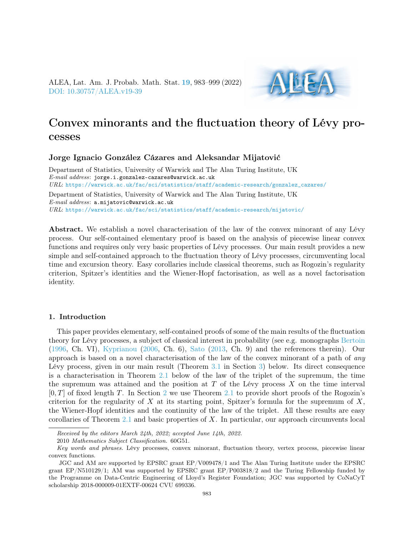ALEA, Lat. Am. J. Probab. Math. Stat. [19](http://alea.impa.br/english/index_v19.htm), 983–999 (2022) [DOI: 10.30757/ALEA.v19-39](https://doi.org/10.30757/ALEA.v19-39)



# Convex minorants and the fluctuation theory of Lévy processes

### Jorge Ignacio González Cázares and Aleksandar Mijatović

Department of Statistics, University of Warwick and The Alan Turing Institute, UK E-mail address: jorge.i.gonzalez-cazares@warwick.ac.uk URL: [https://warwick.ac.uk/fac/sci/statistics/staff/academic-research/gonzalez\\_cazares/](https://warwick.ac.uk/fac/sci/statistics/staff/academic-research/gonzalez_cazares/) Department of Statistics, University of Warwick and The Alan Turing Institute, UK E-mail address: a.mijatovic@warwick.ac.uk

URL: <https://warwick.ac.uk/fac/sci/statistics/staff/academic-research/mijatovic/>

Abstract. We establish a novel characterisation of the law of the convex minorant of any Lévy process. Our self-contained elementary proof is based on the analysis of piecewise linear convex functions and requires only very basic properties of Lévy processes. Our main result provides a new simple and self-contained approach to the fluctuation theory of Lévy processes, circumventing local time and excursion theory. Easy corollaries include classical theorems, such as Rogozin's regularity criterion, Spitzer's identities and the Wiener-Hopf factorisation, as well as a novel factorisation identity.

## 1. Introduction

This paper provides elementary, self-contained proofs of some of the main results of the fluctuation theory for Lévy processes, a subject of classical interest in probability (see e.g. monographs [Bertoin](#page-16-0) [\(1996,](#page-16-0) Ch. VI), [Kyprianou](#page-16-1) [\(2006,](#page-16-1) Ch. 6), [Sato](#page-16-2) [\(2013,](#page-16-2) Ch. 9) and the references therein). Our approach is based on a novel characterisation of the law of the convex minorant of a path of any Lévy process, given in our main result (Theorem [3.1](#page-7-0) in Section [3\)](#page-7-1) below. Its direct consequence is a characterisation in Theorem  $2.1$  below of the law of the triplet of the supremum, the time the supremum was attained and the position at  $T$  of the Lévy process  $X$  on the time interval  $[0, T]$  of fixed length T. In Section [2](#page-1-0) we use Theorem [2.1](#page-2-0) to provide short proofs of the Rogozin's criterion for the regularity of X at its starting point, Spitzer's formula for the supremum of  $X$ , the Wiener-Hopf identities and the continuity of the law of the triplet. All these results are easy corollaries of Theorem [2.1](#page-2-0) and basic properties of X. In particular, our approach circumvents local

Received by the editors March 24th, 2022; accepted June 14th, 2022.

<sup>2010</sup> Mathematics Subject Classification. 60G51.

Key words and phrases. Lévy processes, convex minorant, fluctuation theory, vertex process, piecewise linear convex functions.

JGC and AM are supported by EPSRC grant EP/V009478/1 and The Alan Turing Institute under the EPSRC grant EP/N510129/1; AM was supported by EPSRC grant EP/P003818/2 and the Turing Fellowship funded by the Programme on Data-Centric Engineering of Lloyd's Register Foundation; JGC was supported by CoNaCyT scholarship 2018-000009-01EXTF-00624 CVU 699336.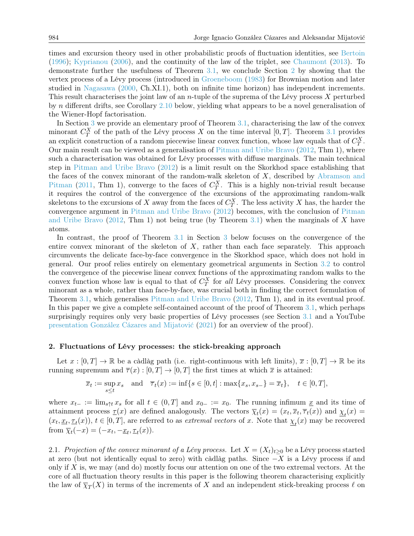times and excursion theory used in other probabilistic proofs of fluctuation identities, see [Bertoin](#page-16-0) [\(1996\)](#page-16-0); [Kyprianou](#page-16-1) [\(2006\)](#page-16-1), and the continuity of the law of the triplet, see [Chaumont](#page-16-3) [\(2013\)](#page-16-3). To demonstrate further the usefulness of Theorem [3.1,](#page-7-0) we conclude Section [2](#page-1-0) by showing that the vertex process of a Lévy process (introduced in [Groeneboom](#page-16-4) [\(1983\)](#page-16-4) for Brownian motion and later studied in [Nagasawa](#page-16-5) [\(2000,](#page-16-5) Ch.XI.1), both on infinite time horizon) has independent increments. This result characterises the joint law of an *n*-tuple of the suprema of the Lévy process  $X$  perturbed by n different drifts, see Corollary [2.10](#page-7-2) below, yielding what appears to be a novel generalisation of the Wiener-Hopf factorisation.

In Section [3](#page-7-1) we provide an elementary proof of Theorem [3.1,](#page-7-0) characterising the law of the convex minorant  $C_T^X$  of the path of the Lévy process X on the time interval  $[0, T]$ . Theorem [3.1](#page-7-0) provides an explicit construction of a random piecewise linear convex function, whose law equals that of  $C_T^X$ . Our main result can be viewed as a generalisation of [Pitman and Uribe Bravo](#page-16-6) [\(2012,](#page-16-6) Thm 1), where such a characterisation was obtained for Lévy processes with diffuse marginals. The main technical step in [Pitman and Uribe Bravo](#page-16-6) [\(2012\)](#page-16-6) is a limit result on the Skorkhod space establishing that the faces of the convex minorant of the random-walk skeleton of X, described by [Abramson and](#page-16-7) [Pitman](#page-16-7) [\(2011,](#page-16-7) Thm 1), converge to the faces of  $C_T^X$ . This is a highly non-trivial result because it requires the control of the convergence of the excursions of the approximating random-walk skeletons to the excursions of X away from the faces of  $C_T^X$ . The less activity X has, the harder the convergence argument in [Pitman and Uribe Bravo](#page-16-6) [\(2012\)](#page-16-6) becomes, with the conclusion of [Pitman](#page-16-6) [and Uribe Bravo](#page-16-6) [\(2012,](#page-16-6) Thm 1) not being true (by Theorem [3.1\)](#page-7-0) when the marginals of X have atoms.

In contrast, the proof of Theorem [3.1](#page-7-0) in Section [3](#page-7-1) below focuses on the convergence of the entire convex minorant of the skeleton of  $X$ , rather than each face separately. This approach circumvents the delicate face-by-face convergence in the Skorkhod space, which does not hold in general. Our proof relies entirely on elementary geometrical arguments in Section [3.2](#page-8-0) to control the convergence of the piecewise linear convex functions of the approximating random walks to the convex function whose law is equal to that of  $C_T^X$  for all Lévy processes. Considering the convex minorant as a whole, rather than face-by-face, was crucial both in finding the correct formulation of Theorem [3.1,](#page-7-0) which generalises [Pitman and Uribe Bravo](#page-16-6) [\(2012,](#page-16-6) Thm 1), and in its eventual proof. In this paper we give a complete self-contained account of the proof of Theorem [3.1,](#page-7-0) which perhaps surprisingly requires only very basic properties of Lévy processes (see Section [3.1](#page-7-3) and a YouTube [presentation](https://youtu.be/hEg4YmxOgXA) [González Cázares and Mijatović](#page-16-8) [\(2021\)](#page-16-8) for an overview of the proof).

#### <span id="page-1-0"></span>2. Fluctuations of Lévy processes: the stick-breaking approach

Let  $x : [0, T] \to \mathbb{R}$  be a càdlàg path (i.e. right-continuous with left limits),  $\overline{x} : [0, T] \to \mathbb{R}$  be its running supremum and  $\overline{\tau}(x) : [0, T] \to [0, T]$  the first times at which  $\overline{x}$  is attained:

$$
\overline{x}_t := \sup_{s \le t} x_s \quad \text{and} \quad \overline{\tau}_t(x) := \inf\{s \in [0, t] : \max\{x_s, x_{s-}\} = \overline{x}_t\}, \quad t \in [0, T],
$$

where  $x_{t-} := \lim_{s \uparrow t} x_s$  for all  $t \in (0,T]$  and  $x_{0-} := x_0$ . The running infimum x and its time of attainment process  $\underline{\tau}(x)$  are defined analogously. The vectors  $\overline{\chi}_t(x) = (x_t, \overline{x}_t, \overline{\tau}_t(x))$  and  $\underline{\chi}_t(x) =$  $(x_t, \underline{x}_t, \underline{\tau}_t(x)), t \in [0, T],$  are referred to as *extremal vectors* of x. Note that  $\underline{\chi}_t(x)$  may be recovered from  $\overline{\chi}_t(-x) = (-x_t, -\underline{x}_t, \underline{\tau}_t(x)).$ 

2.1. Projection of the convex minorant of a Lévy process. Let  $X = (X_t)_{t>0}$  be a Lévy process started at zero (but not identically equal to zero) with càdlàg paths. Since  $-X$  is a Lévy process if and only if X is, we may (and do) mostly focus our attention on one of the two extremal vectors. At the core of all fluctuation theory results in this paper is the following theorem characterising explicitly the law of  $\overline{\chi}_T(X)$  in terms of the increments of X and an independent stick-breaking process  $\ell$  on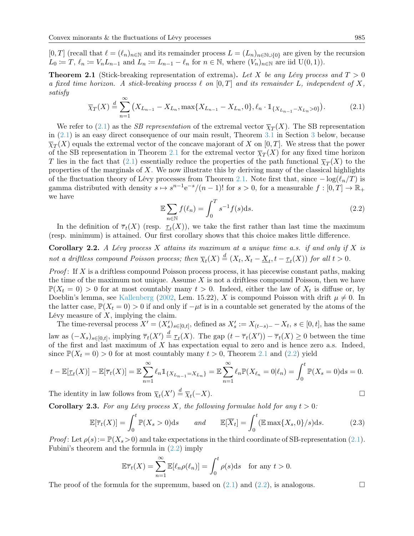$[0, T]$  (recall that  $\ell = (\ell_n)_{n \in \mathbb{N}}$  and its remainder process  $L = (L_n)_{n \in \mathbb{N} \cup \{0\}}$  are given by the recursion  $L_0 := T$ ,  $\ell_n := V_nL_{n-1}$  and  $L_n := L_{n-1} - \ell_n$  for  $n \in \mathbb{N}$ , where  $(V_n)_{n \in \mathbb{N}}$  are iid  $U(0, 1)$ ).

<span id="page-2-0"></span>**Theorem 2.1** (Stick-breaking representation of extrema). Let X be any Lévy process and  $T > 0$ a fixed time horizon. A stick-breaking process  $\ell$  on  $[0, T]$  and its remainder L, independent of X, satisfy

<span id="page-2-1"></span>
$$
\overline{\chi}_T(X) \stackrel{d}{=} \sum_{n=1}^{\infty} \left( X_{L_{n-1}} - X_{L_n}, \max\{ X_{L_{n-1}} - X_{L_n}, 0 \}, \ell_n \cdot \mathbb{1}_{\{ X_{L_{n-1}} - X_{L_n} > 0 \}} \right). \tag{2.1}
$$

We refer to [\(2.1\)](#page-2-1) as the *SB representation* of the extremal vector  $\overline{\chi}_T(X)$ . The SB representation in [\(2.1\)](#page-2-1) is an easy direct consequence of our main result, Theorem [3.1](#page-7-0) in Section [3](#page-7-1) below, because  $\overline{\chi}_T(X)$  equals the extremal vector of the concave majorant of X on  $[0,T]$ . We stress that the power of the SB representation in Theorem [2.1](#page-2-0) for the extremal vector  $\overline{\chi}_T(X)$  for any fixed time horizon T lies in the fact that [\(2.1\)](#page-2-1) essentially reduce the properties of the path functional  $\overline{\chi}_T(X)$  to the properties of the marginals of  $X$ . We now illustrate this by deriving many of the classical highlights of the fluctuation theory of Lévy processes from Theorem [2.1.](#page-2-0) Note first that, since  $-\log(\ell_n/T)$  is gamma distributed with density  $s \mapsto s^{n-1}e^{-s}/(n-1)!$  for  $s > 0$ , for a measurable  $f : [0, T] \to \mathbb{R}_+$ we have

<span id="page-2-2"></span>
$$
\mathbb{E}\sum_{n\in\mathbb{N}}f(\ell_n)=\int_0^T s^{-1}f(s)\mathrm{d}s.\tag{2.2}
$$

In the definition of  $\overline{\tau}_t(X)$  (resp.  $\underline{\tau}_t(X)$ ), we take the first rather than last time the maximum (resp. minimum) is attained. Our first corollary shows that this choice makes little difference.

<span id="page-2-3"></span>Corollary 2.2. A Lévy process X attains its maximum at a unique time a.s. if and only if X is not a driftless compound Poisson process; then  $\overline{\chi}_t(X) \stackrel{d}{=} (X_t, X_t - \underline{X}_t, t - \underline{\tau}_t(X))$  for all  $t > 0$ .

*Proof*: If  $X$  is a driftless compound Poisson process process, it has piecewise constant paths, making the time of the maximum not unique. Assume  $X$  is not a driftless compound Poisson, then we have  $\mathbb{P}(X_t = 0) > 0$  for at most countably many  $t > 0$ . Indeed, either the law of  $X_t$  is diffuse or, by Doeblin's lemma, see [Kallenberg](#page-16-9) [\(2002,](#page-16-9) Lem. 15.22), X is compound Poisson with drift  $\mu \neq 0$ . In the latter case,  $\mathbb{P}(X_t = 0) > 0$  if and only if  $-\mu t$  is in a countable set generated by the atoms of the Lévy measure of  $X$ , implying the claim.

The time-reversal process  $X' = (X'_s)_{s \in [0,t]}$ , defined as  $X'_s := X_{(t-s)-} - X_t$ ,  $s \in [0,t]$ , has the same law as  $(-X_s)_{s\in[0,t]}$ , implying  $\overline{\tau}_t(X') \stackrel{d}{=} \underline{\tau}_t(X)$ . The gap  $(t - \overline{\tau}_t(X')) - \overline{\tau}_t(X) \geq 0$  between the time of the first and last maximum of  $X$  has expectation equal to zero and is hence zero a.s. Indeed, since  $\mathbb{P}(X_t = 0) > 0$  for at most countably many  $t > 0$ , Theorem [2.1](#page-2-0) and [\(2.2\)](#page-2-2) yield

$$
t - \mathbb{E}[\underline{\tau}_t(X)] - \mathbb{E}[\overline{\tau}_t(X)] = \mathbb{E} \sum_{n=1}^{\infty} \ell_n \mathbb{1}_{\{X_{L_{n-1}} = X_{L_n}\}} = \mathbb{E} \sum_{n=1}^{\infty} \ell_n \mathbb{P}(X_{\ell_n} = 0 | \ell_n) = \int_0^t \mathbb{P}(X_s = 0) \mathrm{d}s = 0.
$$

The identity in law follows from  $\overline{\chi}_t(X') \stackrel{d}{=} \overline{\chi}_t(-X)$ .

**Corollary 2.3.** For any Lévy process X, the following formulae hold for any  $t > 0$ :

$$
\mathbb{E}[\overline{\tau}_t(X)] = \int_0^t \mathbb{P}(X_s > 0) \mathrm{d}s \qquad and \qquad \mathbb{E}[\overline{X}_t] = \int_0^t (\mathbb{E} \max\{X_s, 0\}/s) \mathrm{d}s. \tag{2.3}
$$

*Proof*: Let  $\rho(s) := \mathbb{P}(X_s > 0)$  and take expectations in the third coordinate of SB-representation [\(2.1\)](#page-2-1). Fubini's theorem and the formula in  $(2.2)$  imply

$$
\mathbb{E}\overline{\tau}_t(X) = \sum_{n=1}^{\infty} \mathbb{E}[\ell_n \rho(\ell_n)] = \int_0^t \rho(s) \, \mathrm{d}s \quad \text{for any } t > 0.
$$

The proof of the formula for the supremum, based on  $(2.1)$  and  $(2.2)$ , is analogous.

$$
\qquad \qquad \Box
$$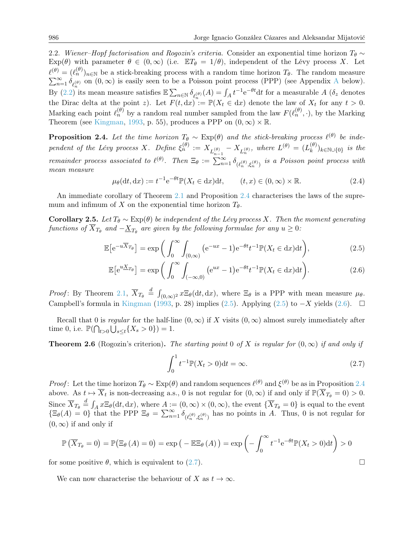2.2. Wiener–Hopf factorisation and Rogozin's criteria. Consider an exponential time horizon  $T_{\theta} \sim$  $Exp(\theta)$  with parameter  $\theta \in (0,\infty)$  (i.e.  $ET_{\theta} = 1/\theta$ ), independent of the Lévy process X. Let  $\ell^{(\theta)} = (\ell_n^{(\theta)})_{n \in \mathbb{N}}$  be a stick-breaking process with a random time horizon  $T_{\theta}$ . The random measure  $\sum_{n=1}^{\infty} \delta_{\ell_n^{(\theta)}}$  on  $(0, \infty)$  is easily seen to be a Poisson point process (PPP) (see [A](#page-15-0)ppendix A below) By [\(2.2\)](#page-2-2) its mean measure satisfies  $\mathbb{E}\sum_{n\in\mathbb{N}}\delta_{\ell_n^{(\theta)}}(A) = \int_A t^{-1}e^{-\theta t}dt$  for a measurable  $A$  ( $\delta_z$  denotes the Dirac delta at the point z). Let  $F(t, dx) := \mathbb{P}(X_t \in dx)$  denote the law of  $X_t$  for any  $t > 0$ . Marking each point  $\ell_n^{(\theta)}$  by a random real number sampled from the law  $F(\ell_n^{(\theta)},\cdot)$ , by the Marking Theorem (see [Kingman,](#page-16-10) [1993,](#page-16-10) p. 55), produces a PPP on  $(0, \infty) \times \mathbb{R}$ .

<span id="page-3-0"></span>**Proposition 2.4.** Let the time horizon  $T_{\theta} \sim \text{Exp}(\theta)$  and the stick-breaking process  $\ell^{(\theta)}$  be independent of the Lévy process X. Define  $\xi_n^{(\theta)} := X_{L_{n-1}^{(\theta)}} - X_{L_n^{(\theta)}},$  where  $L^{(\theta)} = (L_k^{(\theta)})$  $\binom{(\sigma)}{k}$ <sub>k∈N∪{0}</sub> is the remainder process associated to  $\ell^{(\theta)}$ . Then  $\Xi_{\theta} := \sum_{n=1}^{\infty} \delta_{(\ell_n^{(\theta)}, \xi_n^{(\theta)})}$  is a Poisson point process with mean measure

<span id="page-3-4"></span>
$$
\mu_{\theta}(\mathrm{d}t, \mathrm{d}x) := t^{-1} e^{-\theta t} \mathbb{P}(X_t \in \mathrm{d}x) \mathrm{d}t, \qquad (t, x) \in (0, \infty) \times \mathbb{R}.
$$
 (2.4)

An immediate corollary of Theorem [2.1](#page-2-0) and Proposition [2.4](#page-3-0) characterises the laws of the supremum and infimum of X on the exponential time horizon  $T_{\theta}$ .

Corollary 2.5. Let  $T_{\theta} \sim \text{Exp}(\theta)$  be independent of the Lévy process X. Then the moment generating functions of  $X_{T_{\theta}}$  and  $-\underline{X}_{T_{\theta}}$  are given by the following formulae for any  $u \geq 0$ :

$$
\mathbb{E}\left[e^{-u\overline{X}_{T_{\theta}}}\right] = \exp\bigg(\int_0^\infty \int_{(0,\infty)} \left(e^{-ux} - 1\right) e^{-\theta t} t^{-1} \mathbb{P}(X_t \in dx) dt\bigg),\tag{2.5}
$$

$$
\mathbb{E}\left[e^{u\underline{X}_{T_{\theta}}}\right] = \exp\left(\int_0^\infty \int_{(-\infty,0)} \left(e^{ux} - 1\right)e^{-\theta t} t^{-1} \mathbb{P}(X_t \in dx) dt\right).
$$
 (2.6)

Proof: By Theorem [2.1,](#page-2-0)  $\overline{X}_{T_{\theta}} \stackrel{d}{=} \int_{(0,\infty)^2} x \Xi_{\theta}(dt, dx)$ , where  $\Xi_{\theta}$  is a PPP with mean measure  $\mu_{\theta}$ . Campbell's formula in [Kingman](#page-16-10) [\(1993,](#page-16-10) p. 28) implies [\(2.5\)](#page-3-1). Applying (2.5) to  $-X$  yields [\(2.6\)](#page-3-2).  $□$ 

Recall that 0 is regular for the half-line  $(0, \infty)$  if X visits  $(0, \infty)$  almost surely immediately after time 0, i.e.  $\mathbb{P}(\bigcap_{t>0} \bigcup_{s \leq t} \{X_s > 0\}) = 1.$ 

**Theorem 2.6** (Rogozin's criterion). The starting point 0 of X is regular for  $(0, \infty)$  if and only if

<span id="page-3-3"></span><span id="page-3-1"></span>
$$
\int_0^1 t^{-1} \mathbb{P}(X_t > 0) dt = \infty.
$$
 (2.7)

*Proof*: Let the time horizon  $T_{\theta} \sim \text{Exp}(\theta)$  and random sequences  $\ell^{(\theta)}$  and  $\xi^{(\theta)}$  be as in Proposition [2.4](#page-3-0) above. As  $t \mapsto \overline{X}_t$  is non-decreasing a.s., 0 is not regular for  $(0, \infty)$  if and only if  $\mathbb{P}(\overline{X}_{T_\theta} = 0) > 0$ . Since  $\overline{X}_{T_{\theta}} \stackrel{d}{=} \int_{A} x \Xi_{\theta}(\mathrm{d}t, \mathrm{d}x)$ , where  $\underline{A} := (0, \infty) \times (0, \infty)$ , the event  $\{\overline{X}_{T_{\theta}} = 0\}$  is equal to the event  $\{\Xi_{\theta}(A) = 0\}$  that the PPP  $\Xi_{\theta} = \sum_{n=1}^{\infty} \delta_{(\ell_n^{(\theta)}, \xi_n^{(\theta)})}$  has no points in A. Thus, 0 is not regular for  $(0, \infty)$  if and only if

$$
\mathbb{P}\left(\overline{X}_{T_{\theta}}=0\right)=\mathbb{P}\left(\Xi_{\theta}\left(A\right)=0\right)=\exp\left(-\mathbb{E}\Xi_{\theta}\left(A\right)\right)=\exp\left(-\int_{0}^{\infty}t^{-1}\mathrm{e}^{-\theta t}\mathbb{P}(X_{t}>0)\mathrm{d}t\right)>0
$$

for some positive  $\theta$ , which is equivalent to [\(2.7\)](#page-3-3).

We can now characterise the behaviour of X as  $t \to \infty$ .

<span id="page-3-2"></span>
$$
\qquad \qquad \Box
$$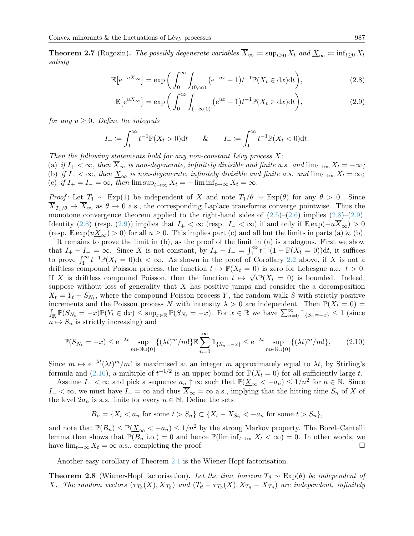**Theorem 2.7** (Rogozin). The possibly degenerate variables  $\overline{X}_{\infty} := \sup_{t>0} X_t$  and  $\underline{X}_{\infty} := \inf_{t\geq 0} X_t$ satisfy

$$
\mathbb{E}\left[e^{-u\overline{X}_{\infty}}\right] = \exp\bigg(\int_0^{\infty} \int_{(0,\infty)} \big(e^{-ux} - 1\big) t^{-1} \mathbb{P}(X_t \in dx) dt\bigg),\tag{2.8}
$$

<span id="page-4-1"></span><span id="page-4-0"></span>
$$
\mathbb{E}\left[e^{u\underline{X}_{\infty}}\right] = \exp\bigg(\int_0^{\infty} \int_{(-\infty,0)} \left(e^{ux} - 1\right) t^{-1} \mathbb{P}(X_t \in dx) dt\bigg),\tag{2.9}
$$

for any  $u \geq 0$ . Define the integrals

$$
I_+ := \int_1^\infty t^{-1} \mathbb{P}(X_t > 0) dt \qquad \& \qquad I_- := \int_1^\infty t^{-1} \mathbb{P}(X_t < 0) dt.
$$

Then the following statements hold for any non-constant Lévy process  $X$ : (a) if  $I_+ < \infty$ , then  $\overline{X}_{\infty}$  is non-degenerate, infinitely divisible and finite a.s. and  $\lim_{t\to\infty} X_t = -\infty$ ; (b) if  $I_- < \infty$ , then  $\underline{X}_{\infty}$  is non-degenerate, infinitely divisible and finite a.s. and  $\lim_{t\to\infty} X_t = \infty$ ; (c) if  $I_+ = I_- = \infty$ , then  $\limsup_{t \to \infty} X_t = -\liminf_{t \to \infty} X_t = \infty$ .

*Proof*: Let  $T_1 \sim \text{Exp}(1)$  be independent of X and note  $T_1/\theta \sim \text{Exp}(\theta)$  for any  $\theta > 0$ . Since  $X_{T_1/\theta} \to X_{\infty}$  as  $\theta \to 0$  a.s., the corresponding Laplace transforms converge pointwise. Thus the monotone convergence theorem applied to the right-hand sides of  $(2.5)-(2.6)$  $(2.5)-(2.6)$  $(2.5)-(2.6)$  implies  $(2.8)-(2.9)$  $(2.8)-(2.9)$  $(2.8)-(2.9)$ . Identity [\(2.8\)](#page-4-0) (resp. [\(2.9\)](#page-4-1)) implies that  $I_{+} < \infty$  (resp.  $I_{-} < \infty$ ) if and only if  $\mathbb{E} \exp(-u\overline{X}_{\infty}) > 0$ (resp.  $\mathbb{E} \exp(u \underline{X}_{\infty}) > 0$ ) for all  $u \geq 0$ . This implies part (c) and all but the limits in parts (a) & (b).

It remains to prove the limit in (b), as the proof of the limit in (a) is analogous. First we show that  $I_+ + I_- = \infty$ . Since X is not constant, by  $I_+ + I_- = \int_1^\infty t^{-1}(1 - \mathbb{P}(X_t - 0))dt$ , it suffices to prove  $\int_1^{\infty} t^{-1} \mathbb{P}(X_t = 0) dt < \infty$ . As shown in the proof of Corollary [2.2](#page-2-3) above, if X is not a driftless compound Poisson process, the function  $t \mapsto \mathbb{P}(X_t = 0)$  is zero for Lebesgue a.e.  $t > 0$ . If X is driftless compound Poisson, then the function  $t \mapsto \sqrt{t}\mathbb{P}(X_t = 0)$  is bounded. Indeed, suppose without loss of generality that  $X$  has positive jumps and consider the a decomposition  $X_t = Y_t + S_{N_t}$ , where the compound Poisson process Y, the random walk S with strictly positive increments and the Poisson process N with intensity  $\lambda > 0$  are independent. Then  $\mathbb{P}(X_t = 0)$  $\int_{\mathbb{R}} \mathbb{P}(S_{N_t} = -x) \mathbb{P}(Y_t \in dx) \leq \sup_{x \in \mathbb{R}} \mathbb{P}(S_{N_t} = -x)$ . For  $x \in \mathbb{R}$  we have  $\sum_{n=0}^{\infty} \mathbb{1}_{\{S_n = -x\}} \leq 1$  (since  $n \mapsto S_n$  is strictly increasing) and

<span id="page-4-2"></span>
$$
\mathbb{P}(S_{N_t} = -x) \le e^{-\lambda t} \sup_{m \in \mathbb{N} \cup \{0\}} \{ (\lambda t)^m / m! \} \mathbb{E} \sum_{n=0}^{\infty} \mathbb{1}_{\{S_n = -x\}} \le e^{-\lambda t} \sup_{m \in \mathbb{N} \cup \{0\}} \{ (\lambda t)^m / m! \}, \tag{2.10}
$$

Since  $m \mapsto e^{-\lambda t} (\lambda t)^m/m!$  is maximised at an integer m approximately equal to  $\lambda t$ , by Stirling's formula and  $(2.10)$ , a multiple of  $t^{-1/2}$  is an upper bound for  $\mathbb{P}(X_t = 0)$  for all sufficiently large t.

Assume  $I_{-} < \infty$  and pick a sequence  $a_n \uparrow \infty$  such that  $\mathbb{P}(\underline{X}_{\infty} < -a_n) \leq 1/n^2$  for  $n \in \mathbb{N}$ . Since  $I_{-} < \infty$ , we must have  $I_{+} = \infty$  and thus  $\overline{X}_{\infty} = \infty$  a.s., implying that the hitting time  $S_n$  of X of the level  $2a_n$  is a.s. finite for every  $n \in \mathbb{N}$ . Define the sets

$$
B_n = \{X_t < a_n \text{ for some } t > S_n\} \subset \{X_t - X_{S_n} < -a_n \text{ for some } t > S_n\},
$$

and note that  $\mathbb{P}(B_n) \leq \mathbb{P}(\underline{X}_{\infty} < -a_n) \leq 1/n^2$  by the strong Markov property. The Borel–Cantelli lemma then shows that  $\mathbb{P}(B_n \text{ i.o.}) = 0$  and hence  $\mathbb{P}(\liminf_{t\to\infty} X_t < \infty) = 0$ . In other words, we have  $\lim_{t\to\infty} X_t = \infty$  a.s., completing the proof.

Another easy corollary of Theorem [2.1](#page-2-0) is the Wiener-Hopf factorisation.

**Theorem 2.8** (Wiener-Hopf factorisation). Let the time horizon  $T_{\theta} \sim \text{Exp}(\theta)$  be independent of X. The random vectors  $(\overline{\tau}_{T_\theta}(X), \overline{X}_{T_\theta})$  and  $(T_\theta - \overline{\tau}_{T_\theta}(X), X_{T_\theta} - \overline{X}_{T_\theta})$  are independent, infinitely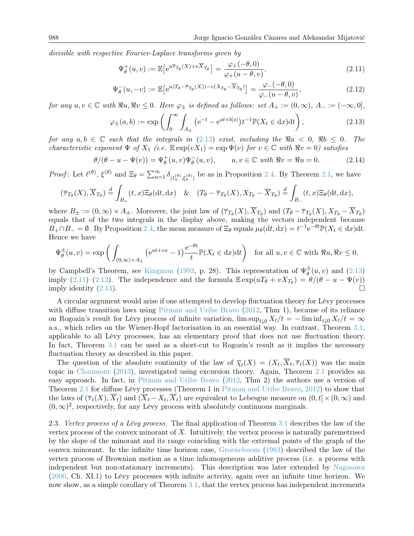divisible with respective Fourier-Laplace transforms given by

<span id="page-5-2"></span><span id="page-5-1"></span>
$$
\Psi_{\theta}^{+}(u,v) := \mathbb{E}\left[e^{u\overline{\tau}_{T_{\theta}}(X) + v\overline{X}_{T_{\theta}}}\right] = \frac{\varphi_{+}(-\theta,0)}{\varphi_{+}(u-\theta,v)},\tag{2.11}
$$

$$
\Psi_{\theta}^{-}(u, -v) := \mathbb{E}\left[e^{u(T_{\theta} - \overline{\tau}_{T_{\theta}}(X)) - v(X_{T_{\theta}} - \overline{X}_{T_{\theta}})}\right] = \frac{\varphi - (-\theta, 0)}{\varphi - (u - \theta, v)},\tag{2.12}
$$

for any  $u, v \in \mathbb{C}$  with  $\Re u, \Re v \leq 0$ . Here  $\varphi_{\pm}$  is defined as follows: set  $A_+ := (0, \infty), A_- := (-\infty, 0],$ 

<span id="page-5-0"></span>
$$
\varphi_{\pm}(a,b) := \exp\left(\int_0^\infty \int_{A_{\pm}} \left(e^{-t} - e^{at + b|x|}\right) t^{-1} \mathbb{P}(X_t \in dx) dt\right),\tag{2.13}
$$

for any  $a, b \in \mathbb{C}$  such that the integrals in [\(2.13\)](#page-5-0) exist, including the  $\Re a < 0$ ,  $\Re b \le 0$ . The characteristic exponent  $\Psi$  of  $X_1$  (i.e.  $\mathbb{E} \exp(vX_1) = \exp \Psi(v)$  for  $v \in \mathbb{C}$  with  $\Re v = 0$ ) satisfies

<span id="page-5-3"></span>
$$
\theta/(\theta - u - \Psi(v)) = \Psi_{\theta}^{+}(u, v)\Psi_{\theta}^{-}(u, v), \qquad u, v \in \mathbb{C} \text{ with } \Re v = \Re u = 0. \tag{2.14}
$$

Proof: Let  $\ell^{(\theta)}$ ,  $\xi^{(\theta)}$  and  $\Xi_{\theta} = \sum_{n=1}^{\infty} \delta_{(\ell_n^{(\theta)}, \xi_n^{(\theta)})}$  be as in Proposition [2.4.](#page-3-0) By Theorem [2.1,](#page-2-0) we have

$$
(\overline{\tau}_{T_{\theta}}(X), \overline{X}_{T_{\theta}}) \stackrel{d}{=} \int_{B_{+}} (t, x) \Xi_{\theta}(\mathrm{d}t, \mathrm{d}x) \& (T_{\theta} - \overline{\tau}_{T_{\theta}}(X), X_{T_{\theta}} - \overline{X}_{T_{\theta}}) \stackrel{d}{=} \int_{B_{-}} (t, x) \Xi_{\theta}(\mathrm{d}t, \mathrm{d}x),
$$

where  $B_{\pm} := (0, \infty) \times A_{\pm}$ . Moreover, the joint law of  $(\overline{\tau}_{T_{\theta}}(X), \overline{X}_{T_{\theta}})$  and  $(T_{\theta} - \overline{\tau}_{T_{\theta}}(X), X_{T_{\theta}} - \overline{X}_{T_{\theta}})$ equals that of the two integrals in the display above, making the vectors independent because  $B_+\cap B_-=\emptyset$ . By Proposition [2.4,](#page-3-0) the mean measure of  $\Xi_{\theta}$  equals  $\mu_{\theta}(\mathrm{d}t,\mathrm{d}x)=t^{-1}\mathrm{e}^{-\theta t}\mathbb{P}(X_t\in\mathrm{d}x)\mathrm{d}t$ . Hence we have

$$
\Psi_{\theta}^{\pm}(u,v) = \exp\left(\int_{(0,\infty)\times A_{\pm}} \left(e^{ut+vx} - 1\right) \frac{e^{-\theta t}}{t} \mathbb{P}(X_t \in dx) dt\right) \quad \text{for all } u,v \in \mathbb{C} \text{ with } \Re u, \Re v \le 0,
$$

by Campbell's Theorem, see [Kingman](#page-16-10) [\(1993,](#page-16-10) p. 28). This representation of  $\Psi^{\pm}_{\theta}$  $_{\theta}^{\pm}(u,v)$  and  $(2.13)$ imply [\(2.11\)](#page-5-1)–[\(2.12\)](#page-5-2). The independence and the formula  $\mathbb{E} \exp(uT_{\theta} + vX_{T_{\theta}}) = \theta/(\theta - u - \Psi(v))$ imply identity  $(2.14)$ .

A circular argument would arise if one attempted to develop fluctuation theory for Lévy processes with diffuse transition laws using [Pitman and Uribe Bravo](#page-16-6) [\(2012,](#page-16-6) Thm 1), because of its reliance on Rogozin's result for Lévy process of infinite variation,  $\limsup_{t\downarrow 0} X_t/t = -\liminf_{t\downarrow 0} X_t/t = \infty$ a.s., which relies on the Wiener-Hopf factorisation in an essential way. In contrast, Theorem [3.1,](#page-7-0) applicable to all Lévy processes, has an elementary proof that does not use fluctuation theory. In fact, Theorem [3.1](#page-7-0) can be used as a short-cut to Rogozin's result as it implies the necessary fluctuation theory as described in this paper.

The question of the absolute continuity of the law of  $\overline{\chi}_t(X) = (X_t, X_t, \overline{\tau}_t(X))$  was the main topic in [Chaumont](#page-16-3) [\(2013\)](#page-16-3), investigated using excursion theory. Again, Theorem [2.1](#page-2-0) provides an easy approach. In fact, in [Pitman and Uribe Bravo](#page-16-6) [\(2012,](#page-16-6) Thm 2) the authors use a version of Theorem [2.1](#page-2-0) for diffuse Lévy processes (Theorem 1 in [Pitman and Uribe Bravo,](#page-16-6) [2012\)](#page-16-6) to show that the laws of  $(\overline{\tau}_t(X), \overline{X}_t)$  and  $(\overline{X}_t - X_t, \overline{X}_t)$  are equivalent to Lebesgue measure on  $(0, t] \times (0, \infty)$  and  $(0, \infty)^2$ , respectively, for any Lévy process with absolutely continuous marginals.

2.3. Vertex process of a Lévy process. The final application of Theorem [3.1](#page-7-0) describes the law of the vertex process of the convex minorant of  $X$ . Intuitively, the vertex process is naturally paremetrised by the slope of the minorant and its range coinciding with the extremal points of the graph of the convex minorant. In the infinite time horizon case, [Groeneboom](#page-16-4) [\(1983\)](#page-16-4) described the law of the vertex process of Brownian motion as a time inhomogeneous additive process (i.e. a process with independent but non-stationary increments). This description was later extended by [Nagasawa](#page-16-5) [\(2000,](#page-16-5) Ch. XI.1) to Lévy processes with infinite activity, again over an infinite time horizon. We now show, as a simple corollary of Theorem [3.1,](#page-7-0) that the vertex process has independent increments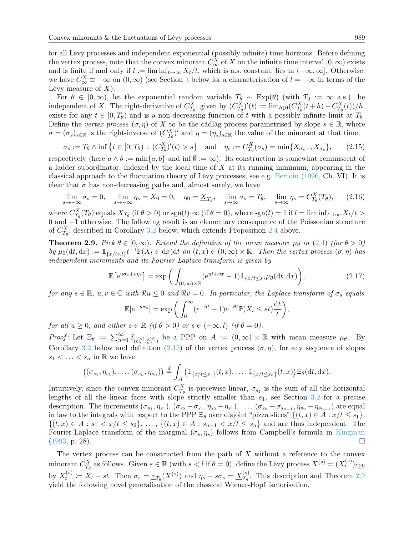for all Lévy processes and independent exponential (possibly infinite) time horizons. Before defining the vertex process, note that the convex minorant  $C_{\infty}^X$  of X on the infinite time interval  $[0, \infty)$  exists and is finite if and only if  $l := \liminf_{t \to \infty} X_t/t$ , which is a.s. constant, lies in  $(-\infty, \infty]$ . Otherwise, we have  $C_{\infty}^X \equiv -\infty$  on  $(0, \infty)$  (see Section [3](#page-7-1) below for a characterisation of  $l = -\infty$  in terms of the Lévy measure of  $X$ ).

For  $\theta \in [0,\infty)$ , let the exponential random variable  $T_{\theta} \sim \text{Exp}(\theta)$  (with  $T_0 := \infty$  a.s.) be independent of X. The right-derivative of  $C_{T_{\theta}}^{X}$ , given by  $(C_{T_{\theta}}^{X})'(t) := \lim_{h \downarrow 0} (C_{T_{\theta}}^{X}(t+h) - C_{T_{\theta}}^{X}(t))/h$ , exists for any  $t \in [0, T_{\theta})$  and is a non-decreasing function of t with a possibly infinite limit at  $T_{\theta}$ . Define the vertex process  $(\sigma, \eta)$  of X to be the càdlàg process parametrised by slope  $s \in \mathbb{R}$ , where  $\sigma = (\sigma_s)_{s \in \mathbb{R}}$  is the right-inverse of  $(C_{T_{\theta}}^X)'$  and  $\eta = (\eta_s)_{s \in \mathbb{R}}$  the value of the minorant at that time,

<span id="page-6-0"></span>
$$
\sigma_s := T_\theta \wedge \inf \left\{ t \in [0, T_\theta) : (C_{T_\theta}^X)'(t) > s \right\} \quad \text{and} \quad \eta_s := C_{T_\theta}^X(\sigma_s) = \min \{ X_{\sigma_s -}, X_{\sigma_s} \}, \tag{2.15}
$$

respectively (here  $a \wedge b := \min\{a, b\}$  and  $\inf \emptyset := \infty$ ). Its construction is somewhat reminiscent of a ladder subordinator, indexed by the local time of X at its running minimum, appearing in the classical approach to the fluctuation theory of Lévy processes, see e.g. [Bertoin](#page-16-0) [\(1996,](#page-16-0) Ch. VI). It is clear that  $\sigma$  has non-decreasing paths and, almost surely, we have

$$
\lim_{s \to -\infty} \sigma_s = 0, \quad \lim_{s \to -\infty} \eta_s = X_0 = 0, \quad \eta_0 = \underline{X}_{T_\theta}, \quad \lim_{s \to \infty} \sigma_s = T_\theta, \quad \lim_{s \to \infty} \eta_s = C_{T_\theta}^X(T_\theta), \tag{2.16}
$$

where  $C_{T_{\theta}}^{X}(T_{\theta})$  equals  $X_{T_{\theta}}$  (if  $\theta > 0$ ) or sgn(l) $\infty$  (if  $\theta = 0$ ), where sgn(l) = 1 if  $l = \liminf_{t \to \infty} X_{t}/t >$ 0 and −1 otherwise. The following result is an elementary consequence of the Poissonian structure of  $C_{T_{\theta}}^{X}$ , described in Corollary [3.2](#page-7-4) below, which extends Proposition [2.4](#page-3-0) above.

<span id="page-6-1"></span>**Theorem 2.9.** Pick  $\theta \in [0,\infty)$ . Extend the definition of the mean measure  $\mu_{\theta}$  in [\(2.4\)](#page-3-4) (for  $\theta > 0$ ) by  $\mu_0(\mathrm{d}t, \mathrm{d}x) := \mathbb{1}_{\{x/t < l\}} t^{-1} \mathbb{P}(X_t \in \mathrm{d}x) \mathrm{d}t$  on  $(t, x) \in (0, \infty) \times \mathbb{R}$ . Then the vertex process  $(\sigma, \eta)$  has independent increments and its Fourier-Laplace transform is given by

$$
\mathbb{E}\left[e^{u\sigma_s + v\eta_s}\right] = \exp\bigg(\int_{(0,\infty)\times\mathbb{R}} (e^{ut+vx} - 1)\mathbb{1}_{\{x/t \le s\}}\mu_\theta(\mathrm{d}t,\mathrm{d}x)\bigg),\tag{2.17}
$$

for any  $s \in \mathbb{R}$ ,  $u, v \in \mathbb{C}$  with  $\Re u \leq 0$  and  $\Re v = 0$ . In particular, the Laplace transform of  $\sigma_s$  equals

$$
\mathbb{E}[\mathrm{e}^{-u\sigma_s}] = \exp\bigg(\int_0^\infty (e^{-ut} - 1)e^{-\theta t}\mathbb{P}(X_t \le st)\frac{\mathrm{d}t}{t}\bigg),
$$

for all  $u \geq 0$ , and either  $s \in \mathbb{R}$  (if  $\theta > 0$ ) or  $s \in (-\infty, l)$  (if  $\theta = 0$ ).

Proof: Let  $\Xi_{\theta} := \sum_{n=1}^{\infty} \delta_{(\ell_n^{(\theta)}, \xi_n^{(\theta)})}$  be a PPP on  $A := (0, \infty) \times \mathbb{R}$  with mean measure  $\mu_{\theta}$ . By Corollary [3.2](#page-7-4) below and definition [\(2.15\)](#page-6-0) of the vertex process  $(\sigma, \eta)$ , for any sequence of slopes  $s_1 < \ldots < s_n$  in R we have

$$
((\sigma_{s_1},\eta_{s_1}),\ldots,(\sigma_{s_n},\eta_{s_n}))\stackrel{d}{=} \int_A \big(\mathbb{1}_{\{x/t\leq s_1\}}(t,x),\ldots,\mathbb{1}_{\{x/t\leq s_n\}}(t,x)\big)\Xi_{\theta}(\mathrm{d}t,\mathrm{d}x).
$$

Intuitively, since the convex minorant  $C_{T_{\theta}}^{X}$  is piecewise linear,  $\sigma_{s_1}$  is the sum of all the horizontal lengths of all the linear faces with slope strictly smaller than  $s_1$ , see Section [3.2](#page-8-0) for a precise description. The increments  $(\sigma_{s_1}, \eta_{s_1}), (\sigma_{s_2} - \sigma_{s_1}, \eta_{s_2} - \eta_{s_1}), \ldots, (\sigma_{s_n} - \sigma_{s_{n-1}}, \eta_{s_n} - \eta_{s_{n-1}})$  are equal in law to the integrals with respect to the PPP  $\Xi_{\theta}$  over disjoint "pizza slices"  $\{(t, x) \in A : x/t \leq s_1\},\$  $\{(t,x)\in A: s_1 < x/t \leq s_2\},\ldots, \{(t,x)\in A: s_{n-1} < x/t \leq s_n\}$  and are thus independent. The Fourier-Laplace transform of the marginal  $(\sigma_s, \eta_s)$  follows from Campbell's formula in [Kingman](#page-16-10)  $(1993, p. 28).$  $(1993, p. 28).$ 

The vertex process can be constructed from the path of  $X$  without a reference to the convex minorant  $C_{T_{\theta}}^X$  as follows. Given  $s \in \mathbb{R}$  (with  $s < l$  if  $\theta = 0$ ), define the Lévy process  $X^{(s)} = (X_t^{(s)})$  $(t^{(s)})_{t\geq 0}$ by  $X_t^{(s)}$  $t_t^{(s)} \coloneqq X_t - st$ . Then  $\sigma_s = \underline{\tau}_{T_\theta}(X^{(s)})$  and  $\eta_s - s\sigma_s = \underline{X}^{(s)}_{T_\theta}$  $T_{\theta}^{(s)}$ . This description and Theorem [2.9](#page-6-1) yield the following novel generalisation of the classical Wiener-Hopf factorisation.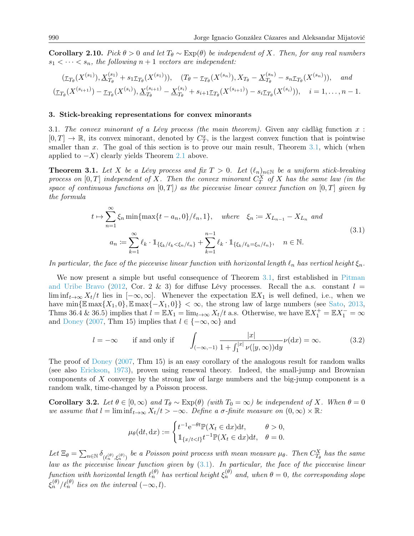<span id="page-7-2"></span>Corollary 2.10. Pick  $\theta > 0$  and let  $T_{\theta} \sim \text{Exp}(\theta)$  be independent of X. Then, for any real numbers  $s_1 < \cdots < s_n$ , the following  $n+1$  vectors are independent:

$$
(\underline{\tau}_{T_{\theta}}(X^{(s_1)}), \underline{X}^{(s_1)}_{T_{\theta}} + s_1 \underline{\tau}_{T_{\theta}}(X^{(s_1)})), \quad (T_{\theta} - \underline{\tau}_{T_{\theta}}(X^{(s_n)}), X_{T_{\theta}} - \underline{X}^{(s_n)}_{T_{\theta}} - s_n \underline{\tau}_{T_{\theta}}(X^{(s_n)})), \quad and
$$
  

$$
(\underline{\tau}_{T_{\theta}}(X^{(s_{i+1})}) - \underline{\tau}_{T_{\theta}}(X^{(s_i)}), \underline{X}^{(s_{i+1})}_{T_{\theta}} - \underline{X}^{(s_i)}_{T_{\theta}} + s_{i+1} \underline{\tau}_{T_{\theta}}(X^{(s_{i+1})}) - s_i \underline{\tau}_{T_{\theta}}(X^{(s_i)})), \quad i = 1, ..., n-1.
$$

#### <span id="page-7-1"></span>3. Stick-breaking representations for convex minorants

<span id="page-7-3"></span>3.1. The convex minorant of a Lévy process (the main theorem). Given any càdlàg function  $x$ :  $[0,T] \to \mathbb{R}$ , its convex minorant, denoted by  $C_T^x$ , is the largest convex function that is pointwise smaller than x. The goal of this section is to prove our main result, Theorem  $3.1$ , which (when applied to  $-X$ ) clearly yields Theorem [2.1](#page-2-0) above.

<span id="page-7-0"></span>**Theorem 3.1.** Let X be a Lévy process and fix  $T > 0$ . Let  $(\ell_n)_{n \in \mathbb{N}}$  be a uniform stick-breaking process on  $[0,T]$  independent of X. Then the convex minorant  $C_T^X$  of X has the same law (in the space of continuous functions on  $[0, T]$ ) as the piecewise linear convex function on  $[0, T]$  given by the formula

<span id="page-7-5"></span>
$$
t \mapsto \sum_{n=1}^{\infty} \xi_n \min\{\max\{t - a_n, 0\}/\ell_n, 1\}, \quad \text{where} \quad \xi_n := X_{L_{n-1}} - X_{L_n} \text{ and}
$$
  

$$
a_n := \sum_{k=1}^{\infty} \ell_k \cdot 1_{\{\xi_k/\ell_k < \xi_n/\ell_n\}} + \sum_{k=1}^{n-1} \ell_k \cdot 1_{\{\xi_k/\ell_k = \xi_n/\ell_n\}}, \quad n \in \mathbb{N}.
$$
  
(3.1)

In particular, the face of the piecewise linear function with horizontal length  $\ell_n$  has vertical height  $\xi_n$ .

We now present a simple but useful consequence of Theorem [3.1,](#page-7-0) first established in [Pitman](#page-16-6) [and Uribe Bravo](#page-16-6) [\(2012,](#page-16-6) Cor. 2 & 3) for diffuse Lévy processes. Recall the a.s. constant  $l =$ lim inf<sub>t→∞</sub>  $X_t/t$  lies in  $[-\infty,\infty]$ . Whenever the expectation  $\mathbb{E}X_1$  is well defined, i.e., when we have min{ $\mathbb{E} \max\{X_1, 0\}, \mathbb{E} \max\{-X_1, 0\}\}<\infty$ , the strong law of large numbers (see [Sato,](#page-16-2) [2013,](#page-16-2) Thms 36.4 & 36.5) implies that  $l = \mathbb{E}X_1 = \lim_{t\to\infty} X_t/t$  a.s. Otherwise, we have  $\mathbb{E}X_1^+ = \mathbb{E}X_1^- = \infty$ and [Doney](#page-16-11) [\(2007,](#page-16-11) Thm 15) implies that  $l \in \{-\infty, \infty\}$  and

$$
l = -\infty \quad \text{if and only if} \quad \int_{(-\infty, -1)} \frac{|x|}{1 + \int_1^{|x|} \nu([y, \infty)) dy} \nu(dx) = \infty. \quad (3.2)
$$

The proof of [Doney](#page-16-11) [\(2007,](#page-16-11) Thm 15) is an easy corollary of the analogous result for random walks (see also [Erickson,](#page-16-12) [1973\)](#page-16-12), proven using renewal theory. Indeed, the small-jump and Brownian components of X converge by the strong law of large numbers and the big-jump component is a random walk, time-changed by a Poisson process.

<span id="page-7-4"></span>Corollary 3.2. Let  $\theta \in [0,\infty)$  and  $T_{\theta} \sim \text{Exp}(\theta)$  (with  $T_0 = \infty$ ) be independent of X. When  $\theta = 0$ we assume that  $l = \liminf_{t \to \infty} X_t/t > -\infty$ . Define a  $\sigma$ -finite measure on  $(0, \infty) \times \mathbb{R}$ :

$$
\mu_{\theta}(\mathrm{d}t, \mathrm{d}x) := \begin{cases} t^{-1} e^{-\theta t} \mathbb{P}(X_t \in \mathrm{d}x) \mathrm{d}t, & \theta > 0, \\ \mathbb{1}_{\{x/t < l\}} t^{-1} \mathbb{P}(X_t \in \mathrm{d}x) \mathrm{d}t, & \theta = 0. \end{cases}
$$

Let  $\Xi_{\theta} = \sum_{n \in \mathbb{N}} \delta_{(\ell_n^{(\theta)}, \xi_n^{(\theta)})}$  be a Poisson point process with mean measure  $\mu_{\theta}$ . Then  $C_{T_{\theta}}^X$  has the same law as the piecewise linear function given by  $(3.1)$ . In particular, the face of the piecewise linear function with horizontal length  $\ell_n^{(\theta)}$  has vertical height  $\xi_n^{(\theta)}$  and, when  $\theta=0$ , the corresponding slope  $\xi_n^{(\theta)}/\ell_n^{(\theta)}$  lies on the interval  $(-\infty, l)$ .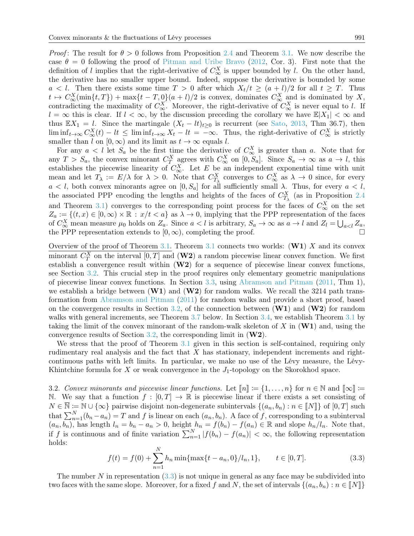*Proof*: The result for  $\theta > 0$  follows from Proposition [2.4](#page-3-0) and Theorem [3.1.](#page-7-0) We now describe the case  $\theta = 0$  following the proof of [Pitman and Uribe Bravo](#page-16-6) [\(2012,](#page-16-6) Cor. 3). First note that the definition of l implies that the right-derivative of  $C_{\infty}^X$  is upper bounded by l. On the other hand, the derivative has no smaller upper bound. Indeed, suppose the derivative is bounded by some  $a < l$ . Then there exists some time  $T > 0$  after which  $X_t/t \geq (a + l)/2$  for all  $t \geq T$ . Thus  $t \mapsto C_{\infty}^{X}(\min\{t,T\}) + \max\{t-T,0\}(a+l)/2$  is convex, dominates  $C_{\infty}^{X}$  and is dominated by X, contradicting the maximality of  $C_{\infty}^X$ . Moreover, the right-derivative of  $C_{\infty}^X$  is never equal to l. If  $l = \infty$  this is clear. If  $l < \infty$ , by the discussion preceding the corollary we have  $\mathbb{E}|X_1| < \infty$  and thus  $\mathbb{E}X_1 = l$ . Since the martingale  $(X_t - lt)_{t\geq 0}$  is recurrent (see [Sato,](#page-16-2) [2013,](#page-16-2) Thm 36.7), then  $\liminf_{t\to\infty} C^X_\infty(t) - lt \leq \liminf_{t\to\infty} X_t - lt = -\infty$ . Thus, the right-derivative of  $C^X_\infty$  is strictly smaller than l on  $[0, \infty)$  and its limit as  $t \to \infty$  equals l.

For any  $a < l$  let  $S_a$  be the first time the derivative of  $C^X_\infty$  is greater than a. Note that for any  $T > S_a$ , the convex minorant  $C_T^X$  agrees with  $C_\infty^X$  on  $[0, S_a]$ . Since  $S_a \to \infty$  as  $a \to l$ , this establishes the piecewise linearity of  $C_{\infty}^{X}$ . Let E be an independent exponential time with unit mean and let  $T_{\lambda} := E/\lambda$  for  $\lambda > 0$ . Note that  $C_{T_{\lambda}}^{X}$  converges to  $C_{\infty}^{X}$  as  $\lambda \to 0$  since, for every  $a < l$ , both convex minorants agree on  $[0, S_a]$  for all sufficiently small  $\lambda$ . Thus, for every  $a < l$ , the associated PPP encoding the lengths and heights of the faces of  $C_{T_{\lambda}}^{X}$  (as in Proposition [2.4](#page-3-0) and Theorem [3.1\)](#page-7-0) converges to the corresponding point process for the faces of  $C_{\infty}^X$  on the set  $Z_a := \{(t, x) \in [0, \infty) \times \mathbb{R} : x/t < a\}$  as  $\lambda \to 0$ , implying that the PPP representation of the faces of  $C_{\infty}^X$  mean measure  $\mu_0$  holds on  $Z_a$ . Since  $a < l$  is arbitrary,  $S_a \to \infty$  as  $a \to l$  and  $Z_l = \bigcup_{a < l} Z_a$ , the PPP representation extends to  $[0, \infty)$ , completing the proof.

Overview of the proof of Theorem [3.1.](#page-7-0) Theorem [3.1](#page-7-0) connects two worlds:  $(\mathbf{W1})$  X and its convex minorant  $C_T^X$  on the interval  $[0, T]$  and  $(\mathbf{W2})$  a random piecewise linear convex function. We first establish a convergence result within  $(W2)$  for a sequence of piecewise linear convex functions, see Section [3.2.](#page-8-0) This crucial step in the proof requires only elementary geometric manipulations of piecewise linear convex functions. In Section [3.3,](#page-13-0) using [Abramson and Pitman](#page-16-7) [\(2011,](#page-16-7) Thm 1), we establish a bridge between  $(\mathbf{W1})$  and  $(\mathbf{W2})$  for random walks. We recall the 3214 path transformation from [Abramson and Pitman](#page-16-7) [\(2011\)](#page-16-7) for random walks and provide a short proof, based on the convergence results in Section [3.2,](#page-8-0) of the connection between  $(\mathbf{W1})$  and  $(\mathbf{W2})$  for random walks with general increments, see Theorem [3.7](#page-13-1) below. In Section [3.4,](#page-15-1) we establish Theorem [3.1](#page-7-0) by taking the limit of the convex minorant of the random-walk skeleton of X in  $(\mathbf{W1})$  and, using the convergence results of Section [3.2,](#page-8-0) the corresponding limit in  $(W2)$ .

We stress that the proof of Theorem [3.1](#page-7-0) given in this section is self-contained, requiring only rudimentary real analysis and the fact that X has stationary, independent increments and rightcontinuous paths with left limits. In particular, we make no use of the Lévy measure, the Lévy-Khintchine formula for  $X$  or weak convergence in the  $J_1$ -topology on the Skorokhod space.

<span id="page-8-0"></span>3.2. Convex minorants and piecewise linear functions. Let  $\llbracket n \rrbracket := \{1, \ldots, n\}$  for  $n \in \mathbb{N}$  and  $\llbracket \infty \rrbracket :=$ N. We say that a function  $f : [0, T] \to \mathbb{R}$  is piecewise linear if there exists a set consisting of  $N \in \overline{\mathbb{N}} := \mathbb{N} \cup \{\infty\}$  pairwise disjoint non-degenerate subintervals  $\{(a_n, b_n) : n \in \llbracket N \rrbracket\}$  of  $[0, T]$  such that  $\sum_{n=1}^{N} (b_n - a_n) = T$  and f is linear on each  $(a_n, b_n)$ . A face of f, corresponding to a subinterval  $(a_n, b_n)$ , has length  $l_n = b_n - a_n > 0$ , height  $h_n = f(b_n) - f(a_n) \in \mathbb{R}$  and slope  $h_n/l_n$ . Note that, if f is continuous and of finite variation  $\sum_{n=1}^{N} |f(b_n) - f(a_n)| < \infty$ , the following representation holds:

<span id="page-8-1"></span>
$$
f(t) = f(0) + \sum_{n=1}^{N} h_n \min\{\max\{t - a_n, 0\}/l_n, 1\}, \qquad t \in [0, T].
$$
 (3.3)

The number N in representation  $(3.3)$  is not unique in general as any face may be subdivided into two faces with the same slope. Moreover, for a fixed f and N, the set of intervals  $\{(a_n, b_n) : n \in \llbracket N \rrbracket\}$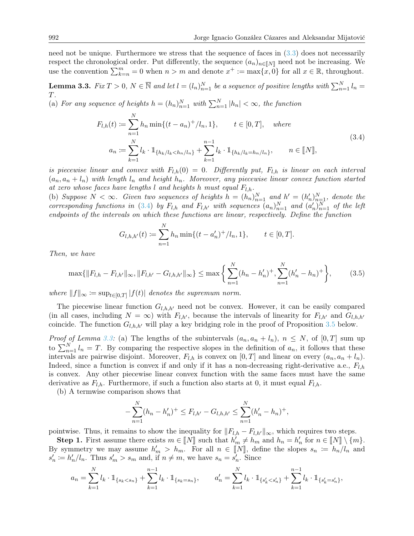need not be unique. Furthermore we stress that the sequence of faces in  $(3.3)$  does not necessarily respect the chronological order. Put differently, the sequence  $(a_n)_{n\in\llbracket N\rrbracket}$  need not be increasing. We use the convention  $\sum_{k=n}^{m} 0$  when  $n > m$  and denote  $x^+ := \max\{x, 0\}$  for all  $x \in \mathbb{R}$ , throughout.

<span id="page-9-1"></span>**Lemma 3.3.** Fix  $T > 0$ ,  $N \in \overline{\mathbb{N}}$  and let  $l = (l_n)_{n=1}^N$  be a sequence of positive lengths with  $\sum_{n=1}^N l_n =$ T.

<span id="page-9-0"></span>(a) For any sequence of heights  $h = (h_n)_{n=1}^N$  with  $\sum_{n=1}^N |h_n| < \infty$ , the function

$$
F_{l,h}(t) := \sum_{n=1}^{N} h_n \min\{(t - a_n)^+ / l_n, 1\}, \qquad t \in [0, T], \quad where
$$
  

$$
a_n := \sum_{k=1}^{N} l_k \cdot 1_{\{h_k / l_k < h_n / l_n\}} + \sum_{k=1}^{n-1} l_k \cdot 1_{\{h_k / l_k = h_n / l_n\}}, \qquad n \in [N],
$$
\n
$$
(3.4)
$$

is piecewise linear and convex with  $F_{l,h}(0) = 0$ . Differently put,  $F_{l,h}$  is linear on each interval  $(a_n, a_n + l_n)$  with length  $l_n$  and height  $h_n$ . Moreover, any piecewise linear convex function started at zero whose faces have lengths l and heights h must equal  $F_{l,h}$ .

(b) Suppose  $N < \infty$ . Given two sequences of heights  $h = (h_n)_{n=1}^N$  and  $h' = (h'_n)_{n=1}^N$ , denote the corresponding functions in [\(3.4\)](#page-9-0) by  $F_{l,h}$  and  $F_{l,h'}$  with sequences  $(a_n)_{n=1}^N$  and  $(a'_n)_{n=1}^N$  of the left endpoints of the intervals on which these functions are linear, respectively. Define the function

$$
G_{l,h,h'}(t) := \sum_{n=1}^{N} h_n \min\{(t-a'_n)^+/l_n, 1\}, \qquad t \in [0,T].
$$

Then, we have

<span id="page-9-2"></span>
$$
\max\{\|F_{l,h} - F_{l,h'}\|_{\infty}, \|F_{l,h'} - G_{l,h,h'}\|_{\infty}\} \le \max\left\{\sum_{n=1}^{N} (h_n - h'_n)^+, \sum_{n=1}^{N} (h'_n - h_n)^+\right\},\tag{3.5}
$$

where  $||f||_{\infty} := \sup_{t \in [0,T]} |f(t)|$  denotes the supremum norm.

The piecewise linear function  $G_{l,h,h'}$  need not be convex. However, it can be easily compared (in all cases, including  $N = \infty$ ) with  $F_{l,h'}$ , because the intervals of linearity for  $F_{l,h'}$  and  $G_{l,h,h'}$ coincide. The function  $G_{l,h,h'}$  will play a key bridging role in the proof of Proposition [3.5](#page-11-0) below.

*Proof of Lemma [3.3:](#page-9-1)* (a) The lengths of the subintervals  $(a_n, a_n + l_n)$ ,  $n \leq N$ , of  $[0, T]$  sum up to  $\sum_{n=1}^{N} l_n = T$ . By comparing the respective slopes in the definition of  $a_n$ , it follows that these intervals are pairwise disjoint. Moreover,  $F_{l,h}$  is convex on  $[0,T]$  and linear on every  $(a_n, a_n + l_n)$ . Indeed, since a function is convex if and only if it has a non-decreasing right-derivative a.e.,  $F_{l,h}$ is convex. Any other piecewise linear convex function with the same faces must have the same derivative as  $F_{l,h}$ . Furthermore, if such a function also starts at 0, it must equal  $F_{l,h}$ .

(b) A termwise comparison shows that

$$
-\sum_{n=1}^{N}(h_n - h'_n)^+ \le F_{l,h'} - G_{l,h,h'} \le \sum_{n=1}^{N}(h'_n - h_n)^+,
$$

pointwise. Thus, it remains to show the inequality for  $||F_{l,h} - F_{l,h'}||_{\infty}$ , which requires two steps.

**Step 1.** First assume there exists  $m \in [N]$  such that  $h'_m \neq h_m$  and  $h_n = h'_n$  for  $n \in [N] \setminus \{m\}$ . By symmetry we may assume  $h'_m > h_m$ . For all  $n \in [N]$ , define the slopes  $s_n := h_n/l_n$  and  $s' := h'/l$ . Thus  $s' > s$ , and if  $n \neq m$  we have  $s = s'$ . Since  $s'_n := h'_n / l_n$ . Thus  $s'_m > s_m$  and, if  $n \neq m$ , we have  $s_n = s'_n$ . Since

$$
a_n = \sum_{k=1}^N l_k \cdot \mathbb{1}_{\{s_k < s_n\}} + \sum_{k=1}^{n-1} l_k \cdot \mathbb{1}_{\{s_k = s_n\}}, \qquad a'_n = \sum_{k=1}^N l_k \cdot \mathbb{1}_{\{s'_k < s'_n\}} + \sum_{k=1}^{n-1} l_k \cdot \mathbb{1}_{\{s'_k = s'_n\}},
$$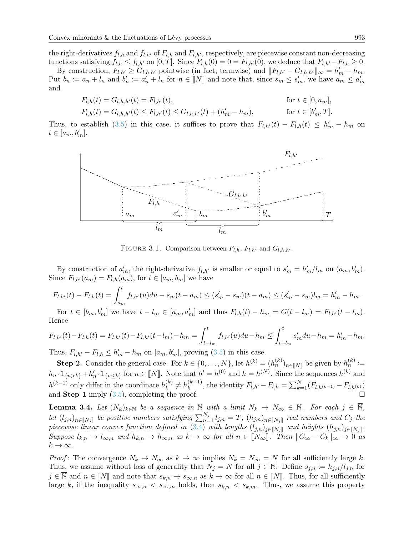the right-derivatives  $f_{l,h}$  and  $f_{l,h'}$  of  $F_{l,h}$  and  $F_{l,h'}$ , respectively, are piecewise constant non-decreasing functions satisfying  $f_{l,h} \leq f_{l,h'}$  on  $[0,T]$ . Since  $F_{l,h}(0) = 0 = F_{l,h'}(0)$ , we deduce that  $F_{l,h'} - F_{l,h} \geq 0$ .

By construction,  $F_{l,h'} \geq G_{l,h,h'}$  pointwise (in fact, termwise) and  $||F_{l,h'} - G_{l,h,h'}||_{\infty} = h'_m - h_m$ . Put  $b_n := a_n + l_n$  and  $b'_n := a'_n + l_n$  for  $n \in [N]$  and note that, since  $s_m \le s'_m$ , we have  $a_m \le a'_m$ and

$$
F_{l,h}(t) = G_{l,h,h'}(t) = F_{l,h'}(t), \qquad \text{for } t \in [0, a_m],
$$
  

$$
F_{l,h}(t) = G_{l,h,h'}(t) \le F_{l,h'}(t) \le G_{l,h,h'}(t) + (h' - h') \qquad \text{for } t \in [h' - T].
$$

$$
F_{l,h}(t) = G_{l,h,h'}(t) \le F_{l,h'}(t) \le G_{l,h,h'}(t) + (h'_m - h_m), \qquad \text{for } t \in [b'_m, T].
$$

Thus, to establish [\(3.5\)](#page-9-2) in this case, it suffices to prove that  $F_{l,h'}(t) - F_{l,h}(t) \leq h'_m - h_m$  on  $t \in [a_m, b'_m].$ 



FIGURE 3.1. Comparison between  $F_{l,h}$ ,  $F_{l,h'}$  and  $G_{l,h,h'}$ .

By construction of  $a'_m$ , the right-derivative  $f_{l,h'}$  is smaller or equal to  $s'_m = h'_m/l_m$  on  $(a_m, b'_m)$ . Since  $F_{l,h'}(a_m) = F_{l,h}(a_m)$ , for  $t \in [a_m, b_m]$  we have

$$
F_{l,h'}(t) - F_{l,h}(t) = \int_{a_m}^t f_{l,h'}(u) du - s_m(t - a_m) \le (s'_m - s_m)(t - a_m) \le (s'_m - s_m)l_m = h'_m - h_m.
$$

For  $t \in [b_m, b'_m]$  we have  $t - l_m \in [a_m, a'_m]$  and thus  $F_{l,h}(t) - h_m = G(t - l_m) = F_{l,h'}(t - l_m)$ . Hence

$$
F_{l,h'}(t) - F_{l,h}(t) = F_{l,h'}(t) - F_{l,h'}(t - l_m) - h_m = \int_{t - l_m}^t f_{l,h'}(u) du - h_m \le \int_{t - l_m}^t s'_m du - h_m = h'_m - h_m.
$$

Thus,  $F_{l,h'} - F_{l,h} \leq h'_m - h_m$  on  $[a_m, b'_m]$ , proving [\(3.5\)](#page-9-2) in this case.

Step 2. Consider the general case. For  $k \in \{0, \ldots, N\}$ , let  $h^{(k)} = (h_n^{(k)})_{n \in [N]}$  be given by  $h_n^{(k)} \coloneqq$  $h_n \cdot 1_{\{n>k\}} + h'_n \cdot 1_{\{n\leq k\}}$  for  $n \in [N]$ . Note that  $h' = h^{(0)}$  and  $h = h^{(N)}$ . Since the sequences  $h^{(k)}$  and  $h^{(k-1)}$  only differ in the coordinate  $h_k^{(k)}$  $\binom{k}{k} \neq h_k^{(k-1)}$  $k_k^{(k-1)}$ , the identity  $F_{l,h'} - F_{l,h} = \sum_{k=1}^{N} (F_{l,h^{(k-1)}} - F_{l,h^{(k)}})$ and **Step 1** imply  $(3.5)$ , completing the proof.

<span id="page-10-0"></span>**Lemma 3.4.** Let  $(N_k)_{k\in\mathbb{N}}$  be a sequence in N with a limit  $N_k \to N_\infty \in \mathbb{N}$ . For each  $j \in \overline{\mathbb{N}}$ , let  $(l_{j,n})_{n\in\llbracket N_j\rrbracket}$  be positive numbers satisfying  $\sum_{n=1}^{N_j} l_{j,n} = T$ ,  $(h_{j,n})_{n\in\llbracket N_j\rrbracket}$  real numbers and  $C_j$  the piecewise linear convex function defined in [\(3.4\)](#page-9-0) with lengths  $(l_{j,n})_{j \in [N_j]}$  and heights  $(h_{j,n})_{j \in [N_j]}$ . Suppose  $l_{k,n} \to l_{\infty,n}$  and  $h_{k,n} \to h_{\infty,n}$  as  $k \to \infty$  for all  $n \in [N_\infty]$ . Then  $||C_\infty - C_k||_\infty \to 0$  as  $k \to \infty$ .

*Proof*: The convergence  $N_k \to N_\infty$  as  $k \to \infty$  implies  $N_k = N_\infty = N$  for all sufficiently large k. Thus, we assume without loss of generality that  $N_j = N$  for all  $j \in \mathbb{N}$ . Define  $s_{j,n} \coloneqq h_{j,n}/l_{j,n}$  for  $j \in \mathbb{N}$  and  $n \in \llbracket N \rrbracket$  and note that  $s_{k,n} \to s_{\infty,n}$  as  $k \to \infty$  for all  $n \in \llbracket N \rrbracket$ . Thus, for all sufficiently large k, if the inequality  $s_{\infty,n} < s_{\infty,m}$  holds, then  $s_{k,n} < s_{k,m}$ . Thus, we assume this property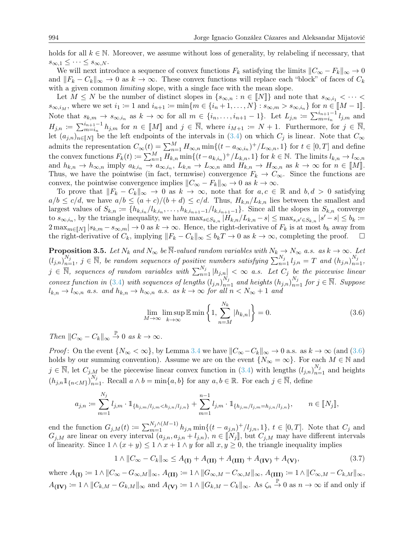holds for all  $k \in \mathbb{N}$ . Moreover, we assume without loss of generality, by relabeling if necessary, that  $s_{\infty,1} \leq \cdots \leq s_{\infty,N}.$ 

We will next introduce a sequence of convex functions  $F_k$  satisfying the limits  $||C_{\infty} - F_k||_{\infty} \to 0$ and  $||F_k - C_k||_{\infty} \to 0$  as  $k \to \infty$ . These convex functions will replace each "block" of faces of  $C_k$ with a given common *limiting* slope, with a single face with the mean slope.

Let  $M \leq N$  be the number of distinct slopes in  $\{s_{\infty,n} : n \in \llbracket N \rrbracket\}$  and note that  $s_{\infty,i_1} < \cdots <$  $s_{\infty,i_M}$ , where we set  $i_1 := 1$  and  $i_{n+1} := \min\{m \in \{i_n + 1, \ldots, N\} : s_{\infty,m} > s_{\infty,i_n}\}\)$  for  $n \in [M-1]$ . Note that  $s_{k,m} \to s_{\infty,i_n}$  as  $k \to \infty$  for all  $m \in \{i_n,\ldots,i_{n+1}-1\}$ . Let  $L_{j,n} := \sum_{m=i_n}^{i_{n+1}-1} l_{j,m}$  and  $H_{j,n} := \sum_{m=i_n}^{i_{n+1}-1} h_{j,m}$  for  $n \in [M]$  and  $j \in \overline{\mathbb{N}}$ , where  $i_{M+1} := N + 1$ . Furthermore, for  $j \in \overline{\mathbb{N}}$ , let  $(a_n)$  be the left ordinary of the intervals in  $(3,4)$  on which  $C$  is linear. Note that  $C$ let  $(a_{j,n})_{n\in\llbracket N\rrbracket}$  be the left endpoints of the intervals in [\(3.4\)](#page-9-0) on which  $C_j$  is linear. Note that  $C_\infty$ admits the representation  $C_{\infty}(t) = \sum_{n=1}^{M} H_{\infty,n} \min\{(t - a_{\infty,i_n})^+/L_{\infty,n}, 1\}$  for  $t \in [0, T]$  and define the convex functions  $F_k(t) \coloneqq \sum_{n=1}^M H_{k,n} \min\{(t-a_{k,i_n})^+/L_{k,n}, 1\}$  for  $k \in \mathbb{N}$ . The limits  $l_{k,n} \to l_{\infty,n}$ and  $h_{k,n} \to h_{\infty,n}$  imply  $a_{k,i_n} \to a_{\infty,i_n}$ ,  $L_{k,n} \to L_{\infty,n}$  and  $H_{k,n} \to H_{\infty,n}$  as  $k \to \infty$  for  $n \in [M]$ .<br>Thus, we have the pointwise (in fact, termwise) convergence  $F_{k,n} \to G$ . Since the functions are Thus, we have the pointwise (in fact, termwise) convergence  $F_k \to C_\infty$ . Since the functions are convex, the pointwise convergence implies  $||C_{\infty} - F_k||_{\infty} \to 0$  as  $k \to \infty$ .

To prove that  $||F_k - C_k||_{\infty} \to 0$  as  $k \to \infty$ , note that for  $a, c \in \mathbb{R}$  and  $b, d > 0$  satisfying  $a/b \le c/d$ , we have  $a/b \le (a+c)/(b+d) \le c/d$ . Thus,  $H_{k,n}/L_{k,n}$  lies between the smallest and largest values of  $S_{k,n} := \{h_{k,i_n}/l_{k,i_n},\ldots,h_{k,i_{n+1}-1}/l_{k,i_{n+1}-1}\}\.$  Since all the slopes in  $S_{k,n}$  converge to  $s_{\infty,i_n}$ , by the triangle inequality, we have  $\max_{s \in S_{k,n}} |H_{k,n}/L_{k,n} - s| \leq \max_{s,s' \in S_{k,n}} |s'-s| \leq b_k \coloneqq$  $2 \max_{m \in \llbracket N \rrbracket} |s_{k,m} - s_{\infty,m}| \to 0$  as  $k \to \infty$ . Hence, the right-derivative of  $F_k$  is at most  $b_k$  away from the right-derivative of  $C_k$ , implying  $||F_k - C_k||_{\infty} \le b_kT \to 0$  as  $k \to \infty$ , completing the proof.  $\square$ 

<span id="page-11-0"></span>**Proposition 3.5.** Let  $N_k$  and  $N_{\infty}$  be  $\overline{\mathbb{N}}$ -valued random variables with  $N_k \to N_{\infty}$  a.s. as  $k \to \infty$ . Let  $(l_{j,n})_{n=1}^{N_j}$ ,  $j \in \overline{\mathbb{N}}$ , be random sequences of positive numbers satisfying  $\sum_{n=1}^{N_j} l_{j,n} = T$  and  $(h_{j,n})_{n=1}^{N_j}$ ,  $j \in \overline{\mathbb{N}}$ , sequences of random variables with  $\sum_{n=1}^{N_j} |h_{j,n}| < \infty$  a.s. Let  $C_j$  be the piecewise linear convex function in [\(3.4\)](#page-9-0) with sequences of lengths  $(l_{j,n})_{n=1}^{N_j}$  and heights  $(h_{j,n})_{n=1}^{N_j}$  for  $j \in \overline{\mathbb{N}}$ . Suppose  $l_{k,n} \to l_{\infty,n}$  a.s. and  $h_{k,n} \to h_{\infty,n}$  a.s. as  $k \to \infty$  for all  $n < N_{\infty} + 1$  and

<span id="page-11-1"></span>
$$
\lim_{M \to \infty} \limsup_{k \to \infty} \mathbb{E} \min \left\{ 1, \sum_{n=M}^{N_k} |h_{k,n}| \right\} = 0. \tag{3.6}
$$

Then  $||C_{\infty} - C_k||_{\infty} \stackrel{\mathbb{P}}{\rightarrow} 0$  as  $k \to \infty$ .

*Proof*: On the event  $\{N_{\infty} < \infty\}$ , by Lemma [3.4](#page-10-0) we have  $||C_{\infty} - C_k||_{\infty} \to 0$  a.s. as  $k \to \infty$  (and [\(3.6\)](#page-11-1) holds by our summing convention). Assume we are on the event  $\{N_{\infty} = \infty\}$ . For each  $M \in \mathbb{N}$  and  $j \in \overline{\mathbb{N}}$ , let  $C_{j,M}$  be the piecewise linear convex function in [\(3.4\)](#page-9-0) with lengths  $(l_{j,n})_{n=1}^{N_j}$  and heights  $(h_{j,n}1\!\!1_{\{n. Recall  $a \wedge b = \min\{a, b\}$  for any  $a, b \in \mathbb{R}$ . For each  $j \in \overline{\mathbb{N}}$ , define$ 

$$
a_{j,n} := \sum_{m=1}^{N_j} l_{j,m} \cdot \mathbb{1}_{\{h_{j,m}/l_{j,m} < h_{j,n}/l_{j,n}\}} + \sum_{m=1}^{n-1} l_{j,m} \cdot \mathbb{1}_{\{h_{j,m}/l_{j,m} = h_{j,n}/l_{j,n}\}}, \qquad n \in [N_j],
$$

end the function  $G_{j,M}(t) := \sum_{m=1}^{N_j \wedge (M-1)} h_{j,n} \min\{(t - a_{j,n})^+/l_{j,n}, 1\}, t \in [0,T].$  Note that  $C_j$  and  $G_{j,M}$  are linear on every interval  $(a_{j,n}, a_{j,n} + l_{j,n}), n \in \llbracket N_j \rrbracket$ , but  $C_{j,M}$  may have different intervals of linearity. Since  $1 \wedge (x + y) \leq 1 \wedge x + 1 \wedge y$  for all  $x, y \geq 0$ , the triangle inequality implies

<span id="page-11-2"></span>
$$
1 \wedge ||C_{\infty} - C_k||_{\infty} \le A_{(I)} + A_{(II)} + A_{(III)} + A_{(IV)} + A_{(V)}, \tag{3.7}
$$

where  $A_{(I)} \coloneqq 1 \wedge ||C_{\infty} - G_{\infty,M}||_{\infty}, A_{(II)} \coloneqq 1 \wedge ||G_{\infty,M} - G_{\infty,M}||_{\infty}, A_{(III)} \coloneqq 1 \wedge ||G_{\infty,M} - G_{k,M}||_{\infty},$  $A_{(IV)} := 1 \wedge ||C_{k,M} - G_{k,M}||_{\infty}$  and  $A_{(V)} := 1 \wedge ||G_{k,M} - C_k||_{\infty}$ . As  $\zeta_n \overset{\mathbb{P}}{\to} 0$  as  $n \to \infty$  if and only if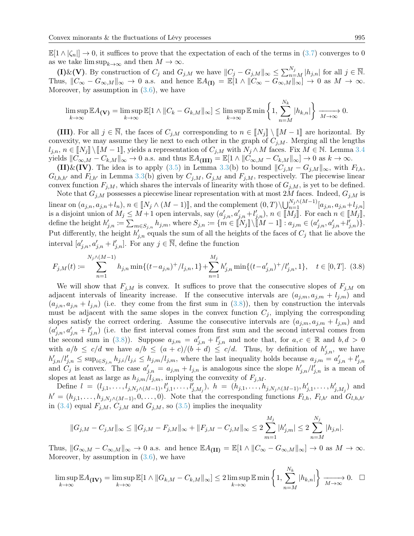$\mathbb{E}[1 \wedge |\zeta_n|] \to 0$ , it suffices to prove that the expectation of each of the terms in [\(3.7\)](#page-11-2) converges to 0 as we take  $\limsup_{k\to\infty}$  and then  $M\to\infty$ .

(I)&(V). By construction of  $C_j$  and  $G_{j,M}$  we have  $||C_j - G_{j,M}||_{\infty} \le \sum_{n=M}^{N_j} |h_{j,n}|$  for all  $j \in \overline{\mathbb{N}}$ . Thus,  $||C_{\infty} - G_{\infty,M}||_{\infty} \to 0$  a.s. and hence  $\mathbb{E}A_{(I)} = \mathbb{E}[1 \wedge ||C_{\infty} - G_{\infty,M}||_{\infty}] \to 0$  as  $M \to \infty$ . Moreover, by assumption in  $(3.6)$ , we have

$$
\limsup_{k \to \infty} \mathbb{E} A_{(\mathbf{V})} = \limsup_{k \to \infty} \mathbb{E}[1 \wedge \|C_k - G_{k,M}\|_{\infty}] \le \limsup_{k \to \infty} \mathbb{E} \min \left\{1, \sum_{n=M}^{N_k} |h_{k,n}|\right\} \xrightarrow[M \to \infty]{} 0.
$$

(III). For all  $j \in \overline{\mathbb{N}}$ , the faces of  $C_{j,M}$  corresponding to  $n \in [N_j] \setminus [M-1]$  are horizontal. By convexity, we may assume they lie next to each other in the graph of  $C_{j,M}$ . Merging all the lengths  $l_{j,n}, n \in \llbracket N_j \rrbracket \setminus \llbracket M-1 \rrbracket$ , yields a representation of  $C_{j,M}$  with  $N_j \wedge M$  faces. Fix  $M \in \mathbb{N}$ . Lemma [3.4](#page-10-0) yields  $||C_{\infty,M} - C_{k,M}||_{\infty} \to 0$  a.s. and thus  $\mathbb{E}A_{(III)} = \mathbb{E}[1 \wedge ||C_{\infty,M} - C_{k,M}||_{\infty}] \to 0$  as  $k \to \infty$ .

(II)&(IV). The idea is to apply [\(3.5\)](#page-9-2) in Lemma [3.3\(](#page-9-1)b) to bound  $||C_{j,M} - G_{j,M}||_{\infty}$ , with  $F_{l,h}$ ,  $G_{l,h,h'}$  and  $F_{l,h'}$  in Lemma [3.3\(](#page-9-1)b) given by  $C_{j,M}$ ,  $G_{j,M}$  and  $F_{j,M}$ , respectively. The piecewise linear convex function  $F_{j,M}$ , which shares the intervals of linearity with those of  $G_{j,M}$ , is yet to be defined.

Note that  $G_{j,M}$  possesses a piecewise linear representation with at most 2M faces. Indeed,  $G_{j,M}$  is linear on  $(a_{j,n}, a_{j,n}+l_n)$ ,  $n \in \llbracket N_j \wedge (M-1) \rrbracket$ , and the complement  $(0,T) \setminus \bigcup_{n=1}^{N_j \wedge (M-1)} [a_{j,n}, a_{j,n}+l_{j,n}]$ is a disjoint union of  $M_j \leq M+1$  open intervals, say  $(a'_{j,n}, a'_{j,n} + l'_{j,n}), n \in [\![M_j]\!]$ . For each  $n \in [\![M_j]\!]$ define the height  $h'_{j,n} := \sum_{m \in S_{j,n}} h_{j,m}$ , where  $S_{j,n} := \{ m \in \llbracket N_j \rrbracket \setminus \llbracket M-1 \rrbracket : a_{j,m} \in (a'_{j,n}, a'_{j,n}+l'_{j,n}) \}$ . Put differently, the height  $h'_{j,n}$  equals the sum of all the heights of the faces of  $C_j$  that lie above the interval  $[a'_{j,n}, a'_{j,n} + l'_{j,n}]$ . For any  $j \in \overline{\mathbb{N}}$ , define the function

<span id="page-12-0"></span>
$$
F_{j,M}(t) := \sum_{n=1}^{N_j \wedge (M-1)} h_{j,n} \min\{(t-a_{j,n})^+ / l_{j,n}, 1\} + \sum_{n=1}^{M_j} h'_{j,n} \min\{(t-a'_{j,n})^+ / l'_{j,n}, 1\}, \quad t \in [0, T].
$$
 (3.8)

We will show that  $F_{j,M}$  is convex. It suffices to prove that the consecutive slopes of  $F_{j,M}$  on adjacent intervals of linearity increase. If the consecutive intervals are  $(a_{j,m}, a_{j,m} + l_{j,m})$  and  $(a_{j,n}, a_{j,n} + l_{j,n})$  (i.e. they come from the first sum in [\(3.8\)](#page-12-0)), then by construction the intervals must be adjacent with the same slopes in the convex function  $C_j$ , implying the corresponding slopes satisfy the correct ordering. Assume the consecutive intervals are  $(a_{j,m}, a_{j,m} + l_{j,m})$  and  $(a'_{j,n}, a'_{j,n} + l'_{j,n})$  (i.e. the first interval comes from first sum and the second interval comes from the second sum in [\(3.8\)](#page-12-0)). Suppose  $a_{j,m} = a'_{j,n} + l'_{j,n}$  and note that, for  $a, c \in \mathbb{R}$  and  $b, d > 0$ with  $a/b \leq c/d$  we have  $a/b \leq (a+c)/(b+d) \leq c/d$ . Thus, by definition of  $h'_{j,n}$ , we have  $h'_{j,n}/l'_{j,n} \le \sup_{i \in S_{j,n}} h_{j,i}/l_{j,i} \le h_{j,m}/l_{j,m}$ , where the last inequality holds because  $a_{j,m} = a'_{j,n} + l'_{j,n}$ and  $C_j$  is convex. The case  $a'_{j,n} = a_{j,m} + l_{j,n}$  is analogous since the slope  $h'_{j,n}/l'_{j,n}$  is a mean of slopes at least as large as  $h_{j,m}/l_{j,m}$ , implying the convexity of  $F_{j,M}$ .

Define  $l = (l_{j,1}, \ldots, l_{j,N_j \wedge (M-1)}, l'_{j,1}, \ldots, l'_{j,M_j}), h = (h_{j,1}, \ldots, h_{j,N_j \wedge (M-1)}, h'_{j,1}, \ldots, h'_{j,M_j})$  and  $h' = (h_{j,1}, \ldots, h_{j,N_j \wedge (M-1)}, 0, \ldots, 0)$ . Note that the corresponding functions  $F_{l,h}, F_{l,h'}$  and  $G_{l,h,h'}$ in [\(3.4\)](#page-9-0) equal  $F_{j,M}$ ,  $C_{j,M}$  and  $G_{j,M}$ , so [\(3.5\)](#page-9-2) implies the inequality

$$
||G_{j,M} - C_{j,M}||_{\infty} \le ||G_{j,M} - F_{j,M}||_{\infty} + ||F_{j,M} - C_{j,M}||_{\infty} \le 2\sum_{m=1}^{M_j} |h'_{j,m}| \le 2\sum_{n=M}^{N_j} |h_{j,n}|.
$$

Thus,  $||G_{\infty,M} - C_{\infty,M}||_{\infty} \to 0$  a.s. and hence  $\mathbb{E}A_{(II)} = \mathbb{E}[1 \wedge ||C_{\infty} - G_{\infty,M}||_{\infty}] \to 0$  as  $M \to \infty$ . Moreover, by assumption in  $(3.6)$ , we have

$$
\limsup_{k \to \infty} \mathbb{E} A_{(IV)} = \limsup_{k \to \infty} \mathbb{E} [1 \wedge ||G_{k,M} - C_{k,M}||_{\infty}] \le 2 \limsup_{k \to \infty} \mathbb{E} \min \left\{ 1, \sum_{n=M}^{N_k} |h_{k,n}| \right\} \xrightarrow[M \to \infty]{} 0. \quad \Box
$$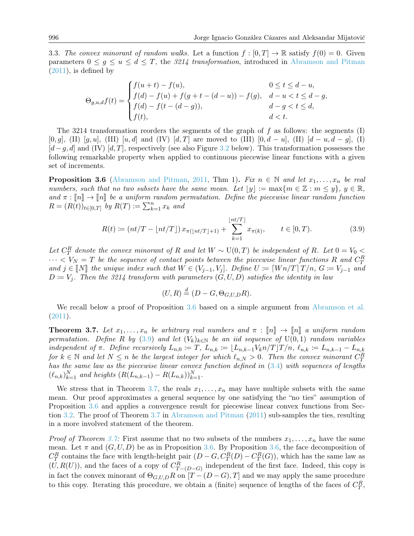<span id="page-13-0"></span>3.3. The convex minorant of random walks. Let a function  $f : [0, T] \to \mathbb{R}$  satisfy  $f(0) = 0$ . Given parameters  $0 \leq g \leq u \leq d \leq T$ , the 3214 transformation, introduced in [Abramson and Pitman](#page-16-7)  $(2011)$ , is defined by

$$
\Theta_{g,u,d}f(t) = \begin{cases} f(u+t) - f(u), & 0 \le t \le d-u, \\ f(d) - f(u) + f(g+t - (d-u)) - f(g), & d-u < t \le d-g, \\ f(d) - f(t - (d-g)), & d-g < t \le d, \\ f(t), & d < t. \end{cases}
$$

The 3214 transformation reorders the segments of the graph of  $f$  as follows: the segments (I)  $[0, q]$ , (II)  $[q, u]$ , (III)  $[u, d]$  and (IV)  $[d, T]$  are moved to (III)  $[0, d - u]$ , (II)  $[d - u, d - q]$ , (I)  $[d-g, d]$  and (IV)  $[d, T]$ , respectively (see also Figure [3.2](#page-14-0) below). This transformation possesses the following remarkable property when applied to continuous piecewise linear functions with a given set of increments.

<span id="page-13-2"></span>**Proposition 3.6** [\(Abramson and Pitman,](#page-16-7) [2011,](#page-16-7) Thm 1). Fix  $n \in \mathbb{N}$  and let  $x_1, \ldots, x_n$  be real numbers, such that no two subsets have the same mean. Let  $\lfloor y \rfloor := \max\{m \in \mathbb{Z} : m \leq y\}, y \in \mathbb{R},$ and  $\pi : \llbracket n \rrbracket \to \llbracket n \rrbracket$  be a uniform random permutation. Define the piecewise linear random function  $R = (R(t))_{t \in [0,T]}$  by  $R(T) := \sum_{k=1}^{n} x_k$  and

<span id="page-13-3"></span>
$$
R(t) := \left( nt/T - \lfloor nt/T \rfloor \right) x_{\pi(\lfloor nt/T \rfloor + 1)} + \sum_{k=1}^{\lfloor nt/T \rfloor} x_{\pi(k)}, \qquad t \in [0, T). \tag{3.9}
$$

Let  $C_T^R$  denote the convex minorant of R and let  $W \sim U(0,T)$  be independent of R. Let  $0 = V_0 <$  $\cdots < V_N = T$  be the sequence of contact points between the piecewise linear functions R and  $C_T^R$ and  $j \in \llbracket N \rrbracket$  the unique index such that  $W \in (V_{j-1}, V_j]$ . Define  $U \coloneqq \llbracket W \eta / T \rrbracket T /n$ ,  $G \coloneqq V_{j-1}$  and  $D \coloneqq V_j$ . Then the 3214 transform with parameters  $(G, U, D)$  satisfies the identity in law

$$
(U, R) \stackrel{d}{=} (D - G, \Theta_{G, U, D} R).
$$

We recall below a proof of Proposition [3.6](#page-13-2) based on a simple argument from [Abramson et al.](#page-16-13) [\(2011\)](#page-16-13).

<span id="page-13-1"></span>**Theorem 3.7.** Let  $x_1, \ldots, x_n$  be arbitrary real numbers and  $\pi : \llbracket n \rrbracket \rightarrow \llbracket n \rrbracket$  a uniform random permutation. Define R by [\(3.9\)](#page-13-3) and let  $(V_k)_{k\in\mathbb{N}}$  be an iid sequence of  $U(0,1)$  random variables independent of  $\pi$ . Define recursively  $L_{n,0} := T$ ,  $L_{n,k} := \lfloor L_{n,k-1}V_kn/T \rfloor T/n$ ,  $\ell_{n,k} := L_{n,k-1} - L_{n,k}$ for  $k \in \mathbb{N}$  and let  $N \leq n$  be the largest integer for which  $\ell_{n,N} > 0$ . Then the convex minorant  $C_T^R$ has the same law as the piecewise linear convex function defined in [\(3.4\)](#page-9-0) with sequences of lengths  $(\ell_{n,k})_{k=1}^N$  and heights  $(R(L_{n,k-1}) - R(L_{n,k}))_{k=1}^N$ .

We stress that in Theorem [3.7,](#page-13-1) the reals  $x_1, \ldots, x_n$  may have multiple subsets with the same mean. Our proof approximates a general sequence by one satisfying the "no ties" assumption of Proposition [3.6](#page-13-2) and applies a convergence result for piecewise linear convex functions from Section [3.2.](#page-8-0) The proof of Theorem [3.7](#page-13-1) in [Abramson and Pitman](#page-16-7) [\(2011\)](#page-16-7) sub-samples the ties, resulting in a more involved statement of the theorem.

*Proof of Theorem [3.7:](#page-13-1)* First assume that no two subsets of the numbers  $x_1, \ldots, x_n$  have the same mean. Let  $\pi$  and  $(G, U, D)$  be as in Proposition [3.6.](#page-13-2) By Proposition [3.6,](#page-13-2) the face decomposition of  $C_T^R$  contains the face with length-height pair  $(D - G, C_T^R(D) - C_T^R(G))$ , which has the same law as  $(U, R(U))$ , and the faces of a copy of  $C_{T-(D-G)}^R$  independent of the first face. Indeed, this copy is in fact the convex minorant of  $\Theta_{G,U,D}R$  on  $[T-(D-G),T]$  and we may apply the same procedure to this copy. Iterating this procedure, we obtain a (finite) sequence of lengths of the faces of  $C_T^R$ ,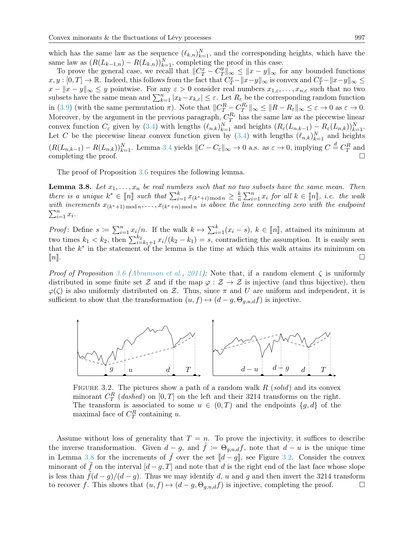which has the same law as the sequence  $(\ell_{k,n})_{k=1}^N$ , and the corresponding heights, which have the same law as  $(R(L_{k-1,n}) - R(L_{k,n}))_{k=1}^N$ , completing the proof in this case.

To prove the general case, we recall that  $||C_T^x - C_T^y||$  $||x||_{\infty} \leq ||x - y||_{\infty}$  for any bounded functions  $x, y : [0, T] \to \mathbb{R}$ . Indeed, this follows from the fact that  $C^x_T - ||x-y||_{\infty}$  is convex and  $C^x_T - ||x-y||_{\infty} \le$  $x - \|x - y\|_{\infty} \leq y$  pointwise. For any  $\varepsilon > 0$  consider real numbers  $x_{1,\varepsilon}, \ldots, x_{n,\varepsilon}$  such that no two subsets have the same mean and  $\sum_{k=1}^{n} |x_k - x_{k,\varepsilon}| \leq \varepsilon$ . Let  $R_{\varepsilon}$  be the corresponding random function in [\(3.9\)](#page-13-3) (with the same permutation  $\pi$ ). Note that  $||C_T^R - C_T^{R_{\varepsilon}}||_{\infty} \le ||R - R_{\varepsilon}||_{\infty} \le \varepsilon \to 0$  as  $\varepsilon \to 0$ . Moreover, by the argument in the previous paragraph,  $C_T^{R_{\varepsilon}}$  has the same law as the piecewise linear convex function  $C_{\varepsilon}$  given by [\(3.4\)](#page-9-0) with lengths  $(\ell_{n,k})_{k=1}^N$  and heights  $(R_{\varepsilon}(L_{n,k-1}) - R_{\varepsilon}(L_{n,k}))_{k=1}^N$ . Let C be the piecewise linear convex function given by  $(3.4)$  with lengths  $(\ell_{n,k})_{k=1}^N$  and heights  $(R(L_{n,k-1}) - R(L_{n,k}))_{k=1}^N$ . Lemma [3.4](#page-10-0) yields  $||C - C_{\varepsilon}||_{\infty} \to 0$  a.s. as  $\varepsilon \to 0$ , implying  $C \stackrel{d}{=} C_T^R$  and completing the proof.  $\Box$ 

The proof of Proposition [3.6](#page-13-2) requires the following lemma.

<span id="page-14-1"></span>**Lemma 3.8.** Let  $x_1, \ldots, x_n$  be real numbers such that no two subsets have the same mean. Then there is a unique  $k^* \in [\![n]\!]$  such that  $\sum_{i=1}^k x_{(k^*+i) \mod n} \geq \frac{k}{n}$ there is a unique  $k^* \in [n]$  such that  $\sum_{i=1}^k x_{(k^*+i) \mod n} \geq \frac{k}{n} \sum_{i=1}^n x_i$  for all  $k \in [n]$ , i.e. the walk with increments  $x_{(k^*+1) \mod n}, \ldots, x_{(k^*+n) \mod n}$  is above the line connecting zero with the endpoint  $\sum_{$  $\sum_{i=1}^n x_i$ .

*Proof*: Define  $s := \sum_{i=1}^n x_i/n$ . If the walk  $k \mapsto \sum_{i=1}^k (x_i - s)$ ,  $k \in [n]$ , attained its minimum at two times  $k_1 < k_2$ , then  $\sum_{i=k_1+1}^{k_2} x_i/(k_2 - k_1) = s$ , contradicting the assumption. It is easily seen that the  $k^*$  in the statement of the lemma is the time at which this walk attains its minimum on  $[n]$ .

*Proof of Proposition [3.6](#page-13-2) [\(Abramson et al.,](#page-16-13) [2011\)](#page-16-13):* Note that, if a random element  $\zeta$  is uniformly distributed in some finite set Z and if the map  $\varphi : \mathcal{Z} \to \mathcal{Z}$  is injective (and thus bijective), then  $\varphi(\zeta)$  is also uniformly distributed on Z. Thus, since  $\pi$  and U are uniform and independent, it is sufficient to show that the transformation  $(u, f) \mapsto (d - g, \Theta_{q,u,d}f)$  is injective.

<span id="page-14-0"></span>

FIGURE 3.2. The pictures show a path of a random walk  $R$  (solid) and its convex minorant  $C_T^R$  (dashed) on  $[0, T]$  on the left and their 3214 transforms on the right. The transform is associated to some  $u \in (0, T)$  and the endpoints  $\{g, d\}$  of the maximal face of  $C_T^R$  containing u.

Assume without loss of generality that  $T = n$ . To prove the injectivity, it suffices to describe the inverse transformation. Given  $d-g$ , and  $\tilde{f} := \Theta_{g,u,d} f$ , note that  $d - u$  is the unique time in Lemma [3.8](#page-14-1) for the increments of  $\tilde{f}$  over the set  $[[d-g]]$ , see Figure [3.2.](#page-14-0) Consider the convex minorant of f on the interval  $[d - g, T]$  and note that d is the right end of the last face whose slope is less than  $\tilde{f}(d-g)/(d-g)$ . Thus we may identify d, u and g and then invert the 3214 transform to recover f. This shows that  $(u, f) \mapsto (d - g, \Theta_{g,u,d}f)$  is injective, completing the proof.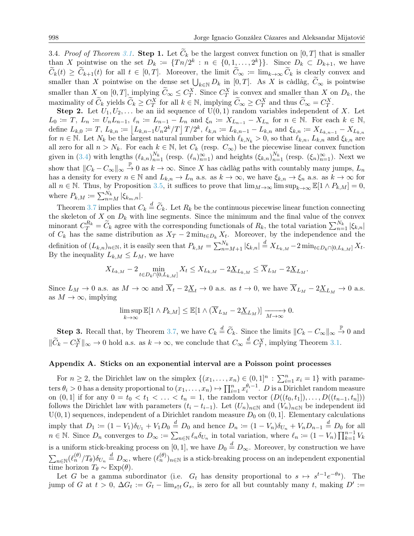<span id="page-15-1"></span>3.4. Proof of Theorem [3.1.](#page-7-0) Step 1. Let  $C_k$  be the largest convex function on  $[0, T]$  that is smaller than X pointwise on the set  $D_k := \{T n/2^k : n \in \{0, 1, ..., 2^k\}\}\.$  Since  $D_k \subset D_{k+1}$ , we have  $C_k(t) \geq C_{k+1}(t)$  for all  $t \in [0,T]$ . Moreover, the limit  $C_\infty := \lim_{k \to \infty} C_k$  is clearly convex and smaller than X pointwise on the dense set  $\bigcup_{k\in\mathbb{N}} D_k$  in [0, T]. As X is càdlàg,  $C_{\infty}$  is pointwise smaller than X on  $[0, T]$ , implying  $\widetilde{C}_{\infty} \leq C_T^X$ . Since  $C_T^X$  is convex and smaller than X on  $D_k$ , the maximality of  $\widetilde{C}_k$  yields  $\widetilde{C}_k \geq C_T^X$  for all  $k \in \mathbb{N}$ , implying  $\widetilde{C}_\infty \geq C_T^X$  and thus  $\widetilde{C}_\infty = C_T^X$ .

**Step 2.** Let  $U_1, U_2, \ldots$  be an iid sequence of  $U(0, 1)$  random variables independent of X. Let  $L_0 := T, L_n := U_n L_{n-1}, \ell_n := L_{n-1} - L_n$  and  $\xi_n := X_{L_{n-1}} - X_{L_n}$  for  $n \in \mathbb{N}$ . For each  $k \in \mathbb{N}$ , define  $L_{k,0} := T$ ,  $L_{k,n} := \left\lfloor L_{k,n-1}U_n 2^k / T \right\rfloor T/2^k$ ,  $\ell_{k,n} := L_{k,n-1} - L_{k,n}$  and  $\xi_{k,n} := X_{L_{k,n-1}} - X_{L_{k,n}}$ for  $n \in \mathbb{N}$ . Let  $N_k$  be the largest natural number for which  $\ell_{k,N_k} > 0$ , so that  $\ell_{k,n}$ ,  $L_{k,n}$  and  $\xi_{k,n}$  are all zero for all  $n > N_k$ . For each  $k \in \mathbb{N}$ , let  $C_k$  (resp.  $C_{\infty}$ ) be the piecewise linear convex function given in [\(3.4\)](#page-9-0) with lengths  $(\ell_{k,n})_{n=1}^{N_k}$  (resp.  $(\ell_n)_{n=1}^{\infty}$ ) and heights  $(\xi_{k,n})_{n=1}^{N_k}$  (resp.  $(\xi_n)_{n=1}^{\infty}$ ). Next we show that  $||C_k - C_\infty||_\infty \overset{\mathbb{P}}{\to} 0$  as  $k \to \infty$ . Since X has càdlàg paths with countably many jumps,  $L_n$ has a density for every  $n \in \mathbb{N}$  and  $L_{k,n} \to L_n$  a.s. as  $k \to \infty$ , we have  $\xi_{k,n} \to \xi_n$  a.s. as  $k \to \infty$  for all  $n \in \mathbb{N}$ . Thus, by Proposition [3.5,](#page-11-0) it suffices to prove that  $\lim_{M\to\infty} \limsup_{k\to\infty} \mathbb{E}[1 \wedge P_{k,M}] = 0$ , where  $P_{k,M} \coloneqq \sum_{n=M}^{N_k} |\xi_{k_m,n}|.$ 

Theorem [3.7](#page-13-1) implies that  $C_k \stackrel{d}{=} \widetilde{C}_k$ . Let  $R_k$  be the continuous piecewise linear function connecting the skeleton of  $X$  on  $D_k$  with line segments. Since the minimum and the final value of the convex minorant  $C_R^{R_k} = \widetilde{C}_k$  agree with the corresponding functionals of  $R_k$ , the total variation  $\sum_{n=1}^{N_k} |\xi_{k,n}|$ of  $C_k$  has the same distribution as  $X_T - 2 \min_{t \in D_k} X_t$ . Moreover, by the independence and the definition of  $(L_{k,n})_{n\in\mathbb{N}}$ , it is easily seen that  $P_{k,M} = \sum_{n=M+1}^{N_k} |\xi_{k,n}| \stackrel{d}{=} X_{L_{k,M}} - 2 \min_{t \in D_k} \log I_{k,M}$ By the inequality  $L_{k,M} \leq L_M$ , we have

$$
X_{L_{k,M}} - 2 \min_{t \in D_k \cap [0, L_{k,M}]} X_t \leq X_{L_{k,M}} - 2 \underline{X}_{L_{k,M}} \leq \overline{X}_{L_M} - 2 \underline{X}_{L_M}.
$$

Since  $L_M \to 0$  a.s. as  $M \to \infty$  and  $\overline{X}_t - 2\underline{X}_t \to 0$  a.s. as  $t \to 0$ , we have  $\overline{X}_{L_M} - 2\underline{X}_{L_M} \to 0$  a.s. as  $M \to \infty$ , implying

$$
\limsup_{k \to \infty} \mathbb{E}[1 \wedge P_{k,M}] \leq \mathbb{E}[1 \wedge (\overline{X}_{L_M} - 2\underline{X}_{L_M})] \xrightarrow[M \to \infty]{} 0.
$$

**Step 3.** Recall that, by Theorem [3.7,](#page-13-1) we have  $C_k \stackrel{d}{=} \widetilde{C}_k$ . Since the limits  $||C_k - C_{\infty}||_{\infty} \stackrel{\mathbb{P}}{\rightarrow} 0$  and  $\|\widetilde{C}_k - C_T^X\|_{\infty} \to 0$  hold a.s. as  $k \to \infty$ , we conclude that  $C_{\infty} \stackrel{d}{=} C_T^X$ , implying Theorem [3.1.](#page-7-0)

#### <span id="page-15-0"></span>Appendix A. Sticks on an exponential interval are a Poisson point processes

For  $n \geq 2$ , the Dirichlet law on the simplex  $\{(x_1, \ldots, x_n) \in (0,1]^n : \sum_{i=1}^n x_i = 1\}$  with parameters  $\theta_i > 0$  has a density proportional to  $(x_1, \ldots, x_n) \mapsto \prod_{i=1}^n x_i^{\theta_i - 1}$ . D is a Dirichlet random measure on  $(0, 1]$  if for any  $0 = t_0 < t_1 < \ldots < t_n = 1$ , the random vector  $(D((t_0, t_1]), \ldots, D((t_{n-1}, t_n]))$ follows the Dirichlet law with parameters  $(t_i - t_{i-1})$ . Let  $(U_n)_{n \in \mathbb{N}}$  and  $(V_n)_{n \in \mathbb{N}}$  be independent iid  $U(0, 1)$  sequences, independent of a Dirichlet random measure  $D_0$  on  $(0, 1]$ . Elementary calculations imply that  $D_1 := (1 - V_1)\delta_{U_1} + V_1 D_0 \stackrel{d}{=} D_0$  and hence  $D_n := (1 - V_n)\delta_{U_n} + V_n D_{n-1} \stackrel{d}{=} D_0$  for all  $n \in \mathbb{N}$ . Since  $D_n$  converges to  $D_{\infty} := \sum_{n \in \mathbb{N}} \ell_n \delta_{U_n}$  in total variation, where  $\ell_n := (1 - V_n) \prod_{k=1}^{n-1} V_k$ is a uniform stick-breaking process on [0,1], we have  $D_0 \stackrel{d}{=} D_{\infty}$ . Moreover, by construction we have  $\sum_{n\in\mathbb{N}}(\ell_n^{(\theta)}/T_{\theta})\delta_{U_n}\stackrel{d}{=}D_{\infty}$ , where  $(\ell_n^{(\theta)})_{n\in\mathbb{N}}$  is a stick-breaking process on an independent exponential time horizon  $T_{\theta} \sim \text{Exp}(\theta)$ .

Let G be a gamma subordinator (i.e.  $G_t$  has density proportional to  $s \mapsto s^{t-1}e^{-\theta s}$ ). The jump of G at  $t > 0$ ,  $\Delta G_t := G_t - \lim_{s \uparrow t} G_s$ , is zero for all but countably many t, making  $D' :=$